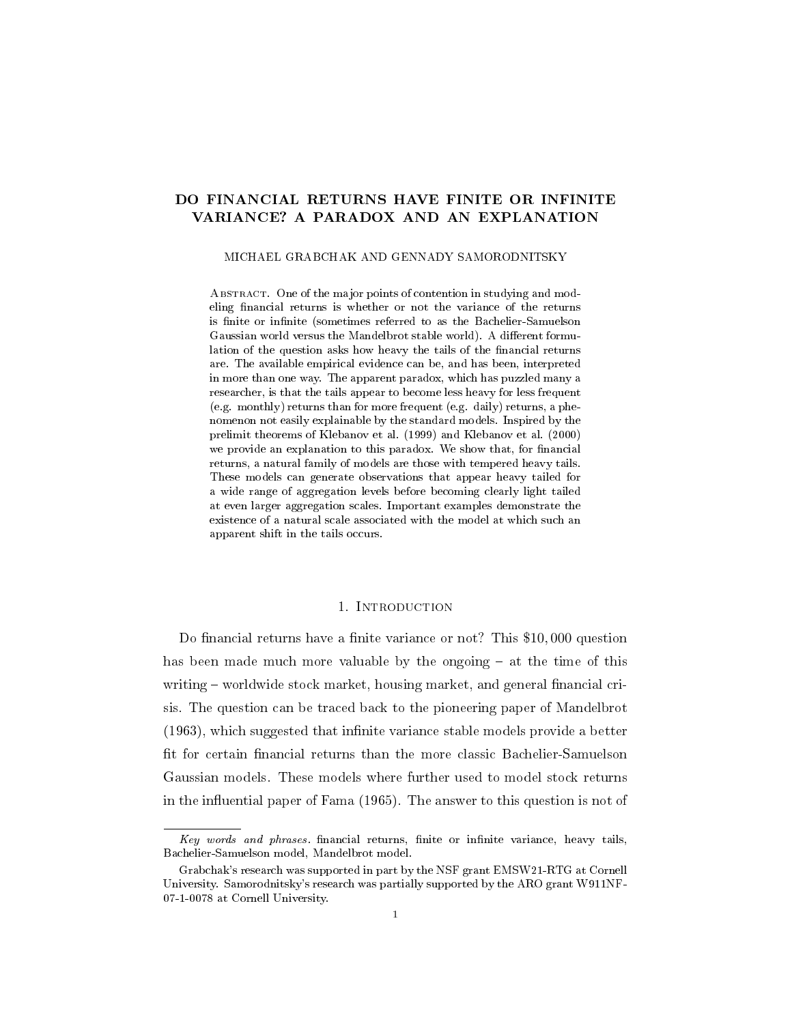## DO FINANCIAL RETURNS HAVE FINITE OR INFINITE VARIANCE? A PARADOX AND AN EXPLANATION

### MICHAEL GRABCHAK AND GENNADY SAMORODNITSKY

ABSTRACT. One of the major points of contention in studying and modeling financial returns is whether or not the variance of the returns is finite or infinite (sometimes referred to as the Bachelier-Samuelson Gaussian world versus the Mandelbrot stable world). A different formulation of the question asks how heavy the tails of the financial returns are. The available empirical evidence can be, and has been, interpreted in more than one way. The apparent paradox, which has puzzled many a researcher, is that the tails appear to become less heavy for less frequent (e.g. monthly) returns than for more frequent (e.g. daily) returns, a phenomenon not easily explainable by the standard models. Inspired by the prelimit theorems of Klebanov et al. (1999) and Klebanov et al. (2000) we provide an explanation to this paradox. We show that, for financial returns, a natural family of models are those with tempered heavy tails. These models can generate observations that appear heavy tailed for a wide range of aggregation levels before becoming clearly light tailed at even larger aggregation scales. Important examples demonstrate the existence of a natural scale associated with the model at which such an apparent shift in the tails occurs.

## 1. Introduction

Do financial returns have a finite variance or not? This \$10,000 question has been made much more valuable by the ongoing  $-$  at the time of this writing  $-$  worldwide stock market, housing market, and general financial crisis. The question can be traced back to the pioneering paper of Mandelbrot  $(1963)$ , which suggested that infinite variance stable models provide a better fit for certain financial returns than the more classic Bachelier-Samuelson Gaussian models. These models where further used to model stock returns in the influential paper of Fama  $(1965)$ . The answer to this question is not of

 $Key$  words and phrases. financial returns, finite or infinite variance, heavy tails, Bachelier-Samuelson model, Mandelbrot model.

Grabchak's research was supported in part by the NSF grant EMSW21-RTG at Cornell University. Samorodnitsky's research was partially supported by the ARO grant W911NF-07-1-0078 at Cornell University.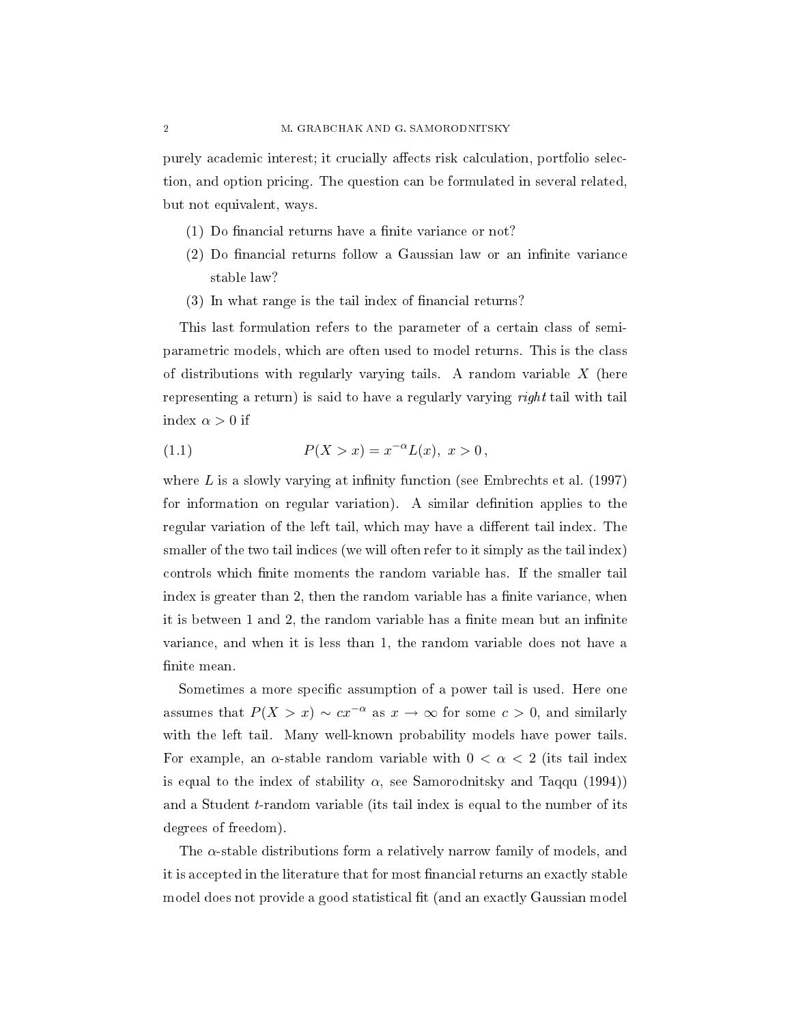purely academic interest; it crucially affects risk calculation, portfolio selection, and option pricing. The question can be formulated in several related, but not equivalent, ways.

- $(1)$  Do financial returns have a finite variance or not?
- $(2)$  Do financial returns follow a Gaussian law or an infinite variance stable law?
- (3) In what range is the tail index of financial returns?

This last formulation refers to the parameter of a certain class of semiparametric models, which are often used to model returns. This is the class of distributions with regularly varying tails. A random variable  $X$  (here representing a return) is said to have a regularly varying *right* tail with tail index  $\alpha > 0$  if

(1.1) 
$$
P(X > x) = x^{-\alpha}L(x), \ x > 0,
$$

where  $L$  is a slowly varying at infinity function (see Embrechts et al. (1997) for information on regular variation). A similar definition applies to the regular variation of the left tail, which may have a different tail index. The smaller of the two tail indices (we will often refer to it simply as the tail index) controls which finite moments the random variable has. If the smaller tail index is greater than 2, then the random variable has a finite variance, when it is between 1 and 2, the random variable has a finite mean but an infinite variance, and when it is less than 1, the random variable does not have a finite mean.

Sometimes a more specific assumption of a power tail is used. Here one assumes that  $P(X > x) \sim cx^{-\alpha}$  as  $x \to \infty$  for some  $c > 0$ , and similarly with the left tail. Many well-known probability models have power tails. For example, an  $\alpha$ -stable random variable with  $0 < \alpha < 2$  (its tail index is equal to the index of stability  $\alpha$ , see Samorodnitsky and Taqqu (1994)) and a Student t-random variable (its tail index is equal to the number of its degrees of freedom).

The  $\alpha$ -stable distributions form a relatively narrow family of models, and it is accepted in the literature that for most financial returns an exactly stable model does not provide a good statistical fit (and an exactly Gaussian model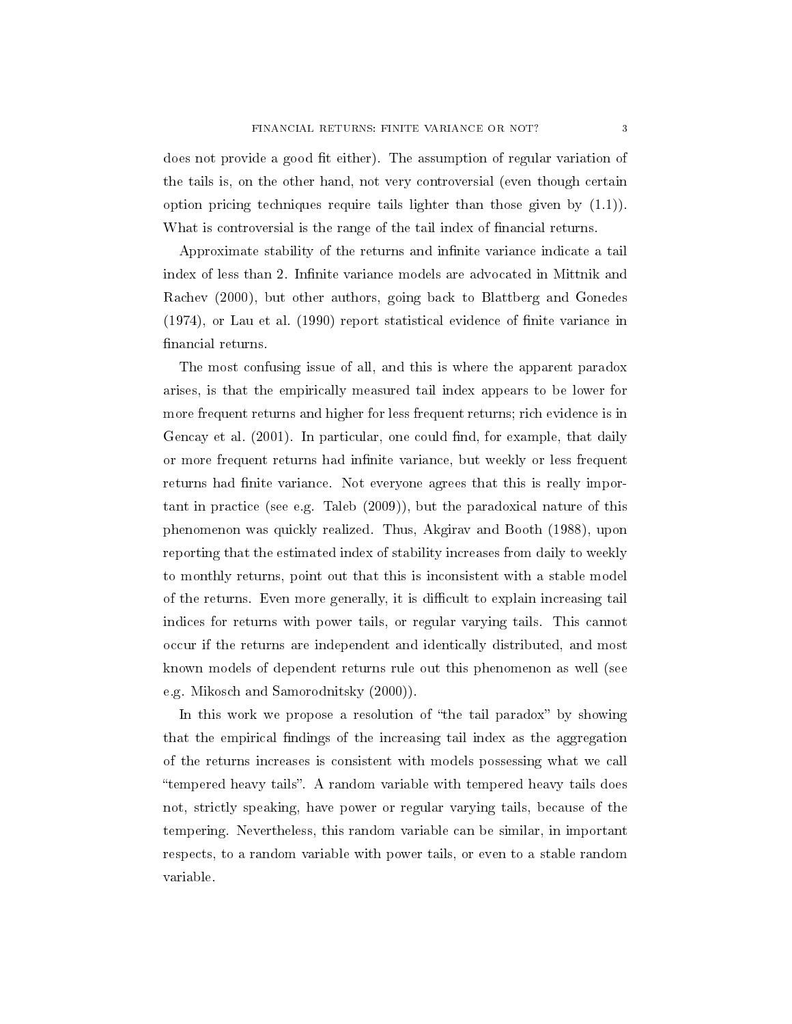does not provide a good fit either). The assumption of regular variation of the tails is, on the other hand, not very controversial (even though certain option pricing techniques require tails lighter than those given by (1.1)). What is controversial is the range of the tail index of financial returns.

Approximate stability of the returns and infinite variance indicate a tail index of less than 2. Infinite variance models are advocated in Mittnik and Rachev (2000), but other authors, going back to Blattberg and Gonedes (1974), or Lau et al. (1990) report statistical evidence of nite variance in financial returns.

The most confusing issue of all, and this is where the apparent paradox arises, is that the empirically measured tail index appears to be lower for more frequent returns and higher for less frequent returns; rich evidence is in Gencay et al.  $(2001)$ . In particular, one could find, for example, that daily or more frequent returns had infinite variance, but weekly or less frequent returns had finite variance. Not everyone agrees that this is really important in practice (see e.g. Taleb (2009)), but the paradoxical nature of this phenomenon was quickly realized. Thus, Akgirav and Booth (1988), upon reporting that the estimated index of stability increases from daily to weekly to monthly returns, point out that this is inconsistent with a stable model of the returns. Even more generally, it is difficult to explain increasing tail indices for returns with power tails, or regular varying tails. This cannot occur if the returns are independent and identically distributed, and most known models of dependent returns rule out this phenomenon as well (see e.g. Mikosch and Samorodnitsky (2000)).

In this work we propose a resolution of "the tail paradox" by showing that the empirical findings of the increasing tail index as the aggregation of the returns increases is consistent with models possessing what we call tempered heavy tails. A random variable with tempered heavy tails does not, strictly speaking, have power or regular varying tails, because of the tempering. Nevertheless, this random variable can be similar, in important respects, to a random variable with power tails, or even to a stable random variable.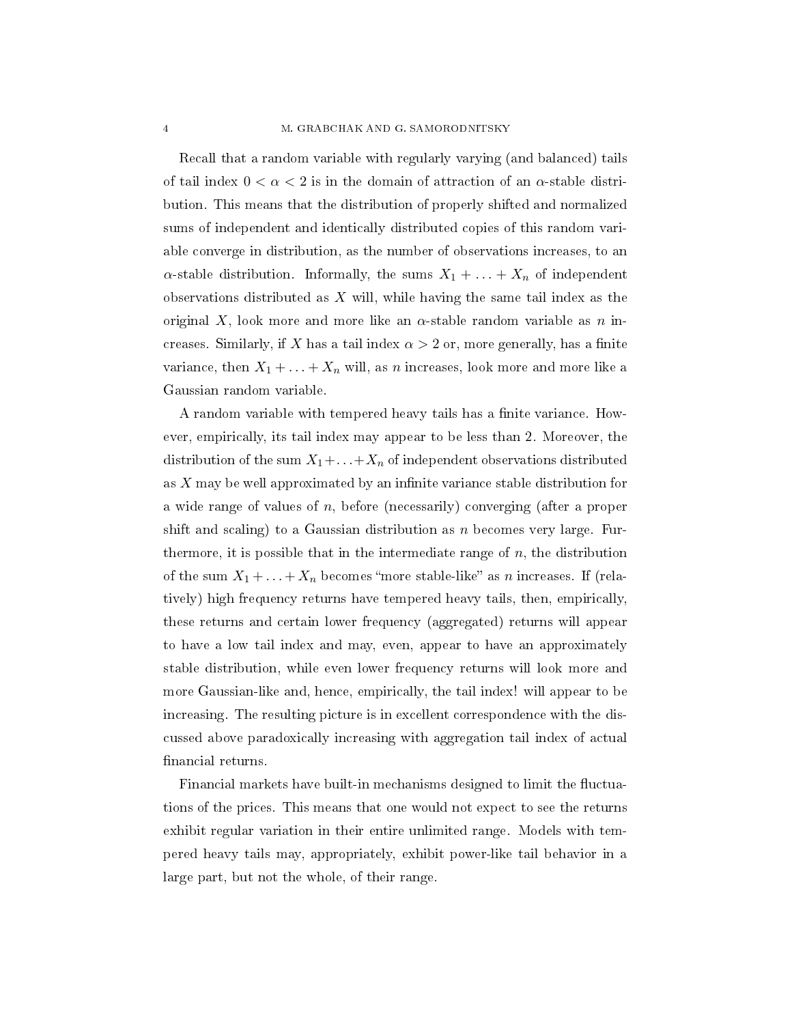Recall that a random variable with regularly varying (and balanced) tails of tail index  $0 < \alpha < 2$  is in the domain of attraction of an  $\alpha$ -stable distribution. This means that the distribution of properly shifted and normalized sums of independent and identically distributed copies of this random variable converge in distribution, as the number of observations increases, to an  $\alpha$ -stable distribution. Informally, the sums  $X_1 + \ldots + X_n$  of independent observations distributed as  $X$  will, while having the same tail index as the original X, look more and more like an  $\alpha$ -stable random variable as n increases. Similarly, if X has a tail index  $\alpha > 2$  or, more generally, has a finite variance, then  $X_1 + \ldots + X_n$  will, as n increases, look more and more like a Gaussian random variable.

A random variable with tempered heavy tails has a finite variance. However, empirically, its tail index may appear to be less than 2. Moreover, the distribution of the sum  $X_1 + \ldots + X_n$  of independent observations distributed as  $X$  may be well approximated by an infinite variance stable distribution for a wide range of values of  $n$ , before (necessarily) converging (after a proper shift and scaling) to a Gaussian distribution as  $n$  becomes very large. Furthermore, it is possible that in the intermediate range of  $n$ , the distribution of the sum  $X_1 + \ldots + X_n$  becomes "more stable-like" as n increases. If (relatively) high frequency returns have tempered heavy tails, then, empirically, these returns and certain lower frequency (aggregated) returns will appear to have a low tail index and may, even, appear to have an approximately stable distribution, while even lower frequency returns will look more and more Gaussian-like and, hence, empirically, the tail index! will appear to be increasing. The resulting picture is in excellent correspondence with the discussed above paradoxically increasing with aggregation tail index of actual financial returns.

Financial markets have built-in mechanisms designed to limit the fluctuations of the prices. This means that one would not expect to see the returns exhibit regular variation in their entire unlimited range. Models with tempered heavy tails may, appropriately, exhibit power-like tail behavior in a large part, but not the whole, of their range.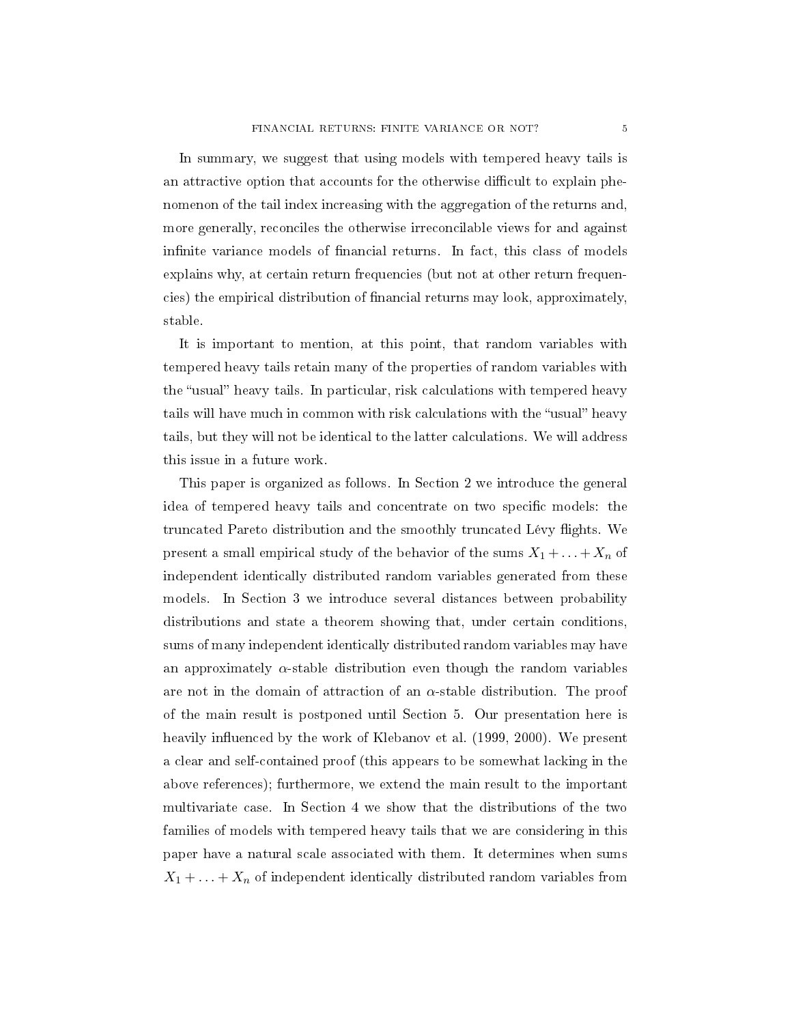In summary, we suggest that using models with tempered heavy tails is an attractive option that accounts for the otherwise difficult to explain phenomenon of the tail index increasing with the aggregation of the returns and, more generally, reconciles the otherwise irreconcilable views for and against infinite variance models of financial returns. In fact, this class of models explains why, at certain return frequencies (but not at other return frequencies) the empirical distribution of nancial returns may look, approximately, stable.

It is important to mention, at this point, that random variables with tempered heavy tails retain many of the properties of random variables with the "usual" heavy tails. In particular, risk calculations with tempered heavy tails will have much in common with risk calculations with the "usual" heavy tails, but they will not be identical to the latter calculations. We will address this issue in a future work.

This paper is organized as follows. In Section 2 we introduce the general idea of tempered heavy tails and concentrate on two specific models: the truncated Pareto distribution and the smoothly truncated Lévy flights. We present a small empirical study of the behavior of the sums  $X_1 + \ldots + X_n$  of independent identically distributed random variables generated from these models. In Section 3 we introduce several distances between probability distributions and state a theorem showing that, under certain conditions, sums of many independent identically distributed random variables may have an approximately  $\alpha$ -stable distribution even though the random variables are not in the domain of attraction of an  $\alpha$ -stable distribution. The proof of the main result is postponed until Section 5. Our presentation here is heavily influenced by the work of Klebanov et al. (1999, 2000). We present a clear and self-contained proof (this appears to be somewhat lacking in the above references); furthermore, we extend the main result to the important multivariate case. In Section 4 we show that the distributions of the two families of models with tempered heavy tails that we are considering in this paper have a natural scale associated with them. It determines when sums  $X_1 + \ldots + X_n$  of independent identically distributed random variables from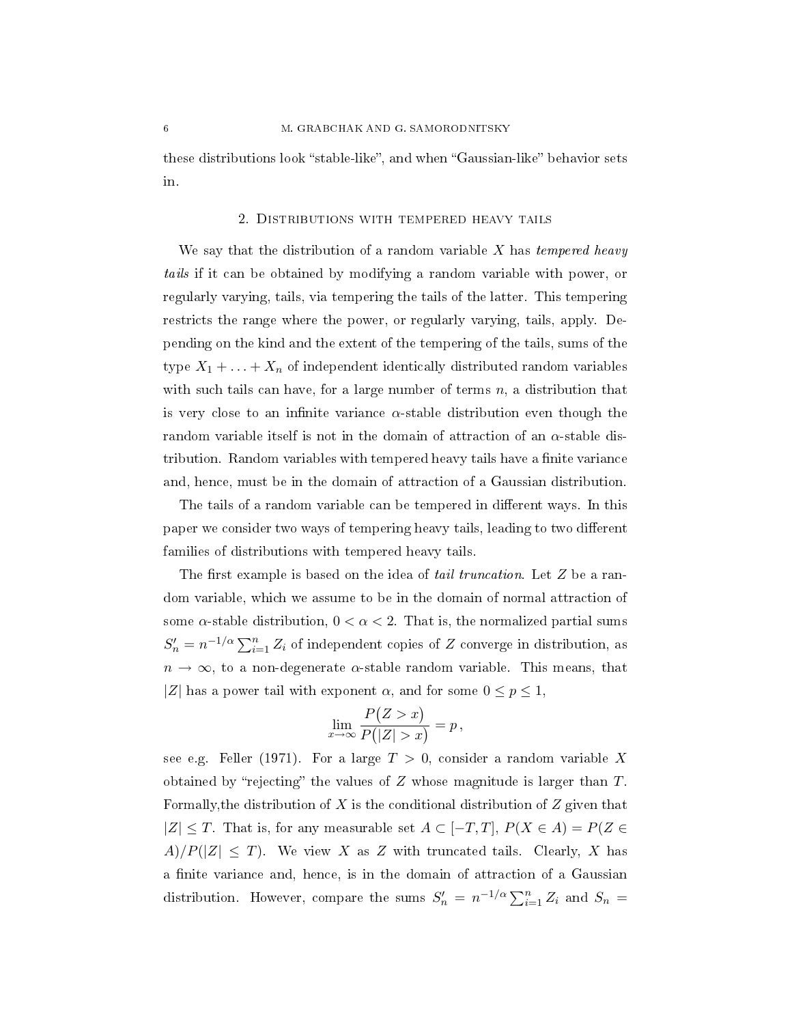these distributions look "stable-like", and when "Gaussian-like" behavior sets in.

#### 2. Distributions with tempered heavy tails

We say that the distribution of a random variable  $X$  has tempered heavy tails if it can be obtained by modifying a random variable with power, or regularly varying, tails, via tempering the tails of the latter. This tempering restricts the range where the power, or regularly varying, tails, apply. Depending on the kind and the extent of the tempering of the tails, sums of the type  $X_1 + \ldots + X_n$  of independent identically distributed random variables with such tails can have, for a large number of terms  $n$ , a distribution that is very close to an infinite variance  $\alpha$ -stable distribution even though the random variable itself is not in the domain of attraction of an  $\alpha$ -stable distribution. Random variables with tempered heavy tails have a finite variance and, hence, must be in the domain of attraction of a Gaussian distribution.

The tails of a random variable can be tempered in different ways. In this paper we consider two ways of tempering heavy tails, leading to two different families of distributions with tempered heavy tails.

The first example is based on the idea of *tail truncation*. Let  $Z$  be a random variable, which we assume to be in the domain of normal attraction of some  $\alpha$ -stable distribution,  $0 < \alpha < 2$ . That is, the normalized partial sums  $S'_n = n^{-1/\alpha} \sum_{i=1}^n Z_i$  of independent copies of Z converge in distribution, as  $n \to \infty$ , to a non-degenerate  $\alpha$ -stable random variable. This means, that |Z| has a power tail with exponent  $\alpha$ , and for some  $0 \le p \le 1$ ,

$$
\lim_{x \to \infty} \frac{P(Z > x)}{P(|Z| > x)} = p,
$$

see e.g. Feller (1971). For a large  $T > 0$ , consider a random variable X obtained by "rejecting" the values of  $Z$  whose magnitude is larger than  $T$ . Formally, the distribution of X is the conditional distribution of  $Z$  given that  $|Z|$  ≤ T. That is, for any measurable set  $A \subset [-T, T]$ ,  $P(X \in A) = P(Z \in \mathbb{R})$  $A)/P(|Z| \leq T)$ . We view X as Z with truncated tails. Clearly, X has a finite variance and, hence, is in the domain of attraction of a Gaussian distribution. However, compare the sums  $S'_n = n^{-1/\alpha} \sum_{i=1}^n Z_i$  and  $S_n =$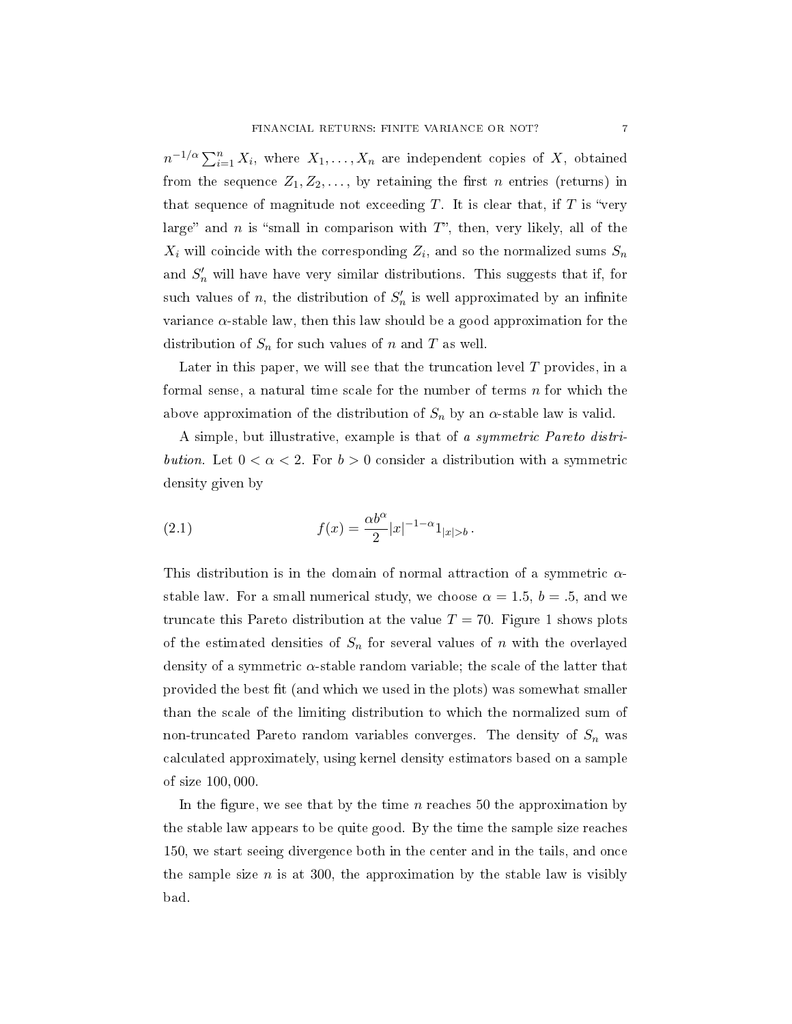$n^{-1/\alpha} \sum_{i=1}^{n} X_i$ , where  $X_1, \ldots, X_n$  are independent copies of X, obtained from the sequence  $Z_1, Z_2, \ldots$ , by retaining the first *n* entries (returns) in that sequence of magnitude not exceeding  $T$ . It is clear that, if  $T$  is "very large" and n is "small in comparison with  $T$ ", then, very likely, all of the  $X_i$  will coincide with the corresponding  $Z_i$ , and so the normalized sums  $S_n$ and  $S_n'$  will have have very similar distributions. This suggests that if, for such values of n, the distribution of  $S_n'$  is well approximated by an infinite variance  $\alpha$ -stable law, then this law should be a good approximation for the distribution of  $S_n$  for such values of n and T as well.

Later in this paper, we will see that the truncation level  $T$  provides, in a formal sense, a natural time scale for the number of terms  $n$  for which the above approximation of the distribution of  $S_n$  by an  $\alpha$ -stable law is valid.

A simple, but illustrative, example is that of a symmetric Pareto distribution. Let  $0 < \alpha < 2$ . For  $b > 0$  consider a distribution with a symmetric density given by

(2.1) 
$$
f(x) = \frac{\alpha b^{\alpha}}{2} |x|^{-1-\alpha} 1_{|x|>b}.
$$

This distribution is in the domain of normal attraction of a symmetric  $\alpha$ stable law. For a small numerical study, we choose  $\alpha = 1.5, b = .5$ , and we truncate this Pareto distribution at the value  $T = 70$ . Figure 1 shows plots of the estimated densities of  $S_n$  for several values of n with the overlayed density of a symmetric  $\alpha$ -stable random variable; the scale of the latter that provided the best fit (and which we used in the plots) was somewhat smaller than the scale of the limiting distribution to which the normalized sum of non-truncated Pareto random variables converges. The density of  $S_n$  was calculated approximately, using kernel density estimators based on a sample of size 100, 000.

In the figure, we see that by the time  $n$  reaches 50 the approximation by the stable law appears to be quite good. By the time the sample size reaches 150, we start seeing divergence both in the center and in the tails, and once the sample size n is at 300, the approximation by the stable law is visibly bad.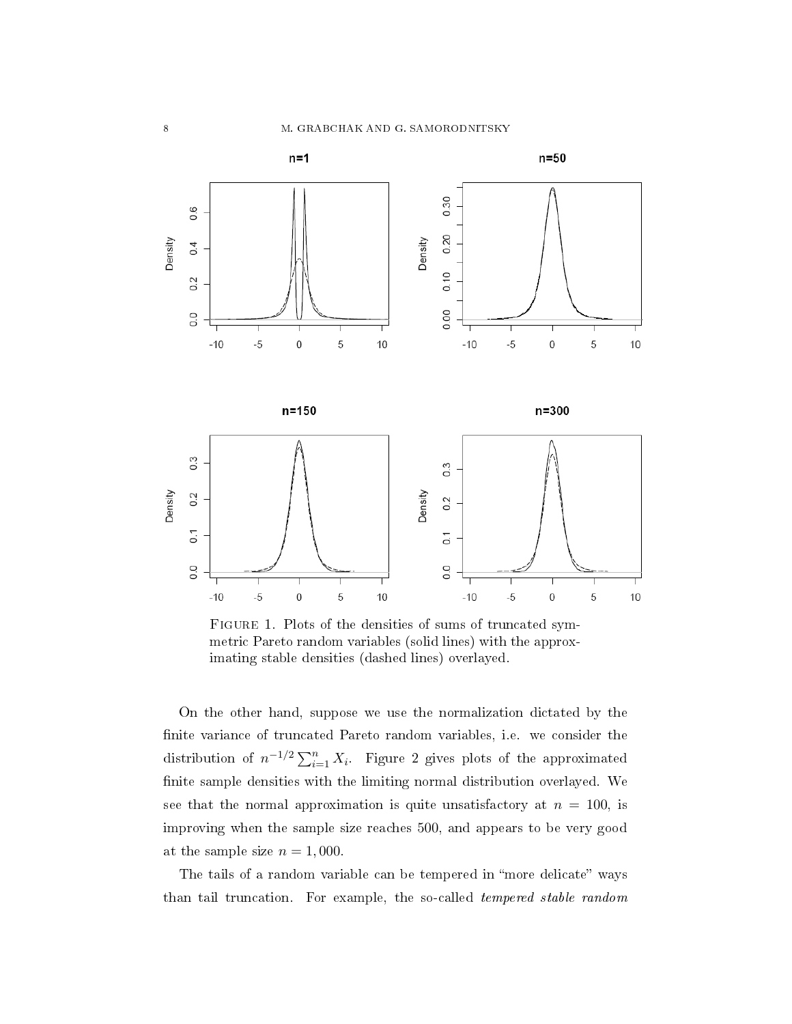

Figure 1. Plots of the densities of sums of truncated symmetric Pareto random variables (solid lines) with the approximating stable densities (dashed lines) overlayed.

On the other hand, suppose we use the normalization dictated by the nite variance of truncated Pareto random variables, i.e. we consider the distribution of  $n^{-1/2} \sum_{i=1}^{n} X_i$ . Figure 2 gives plots of the approximated nite sample densities with the limiting normal distribution overlayed. We see that the normal approximation is quite unsatisfactory at  $n = 100$ , is improving when the sample size reaches 500, and appears to be very good at the sample size  $n = 1,000$ .

The tails of a random variable can be tempered in "more delicate" ways than tail truncation. For example, the so-called tempered stable random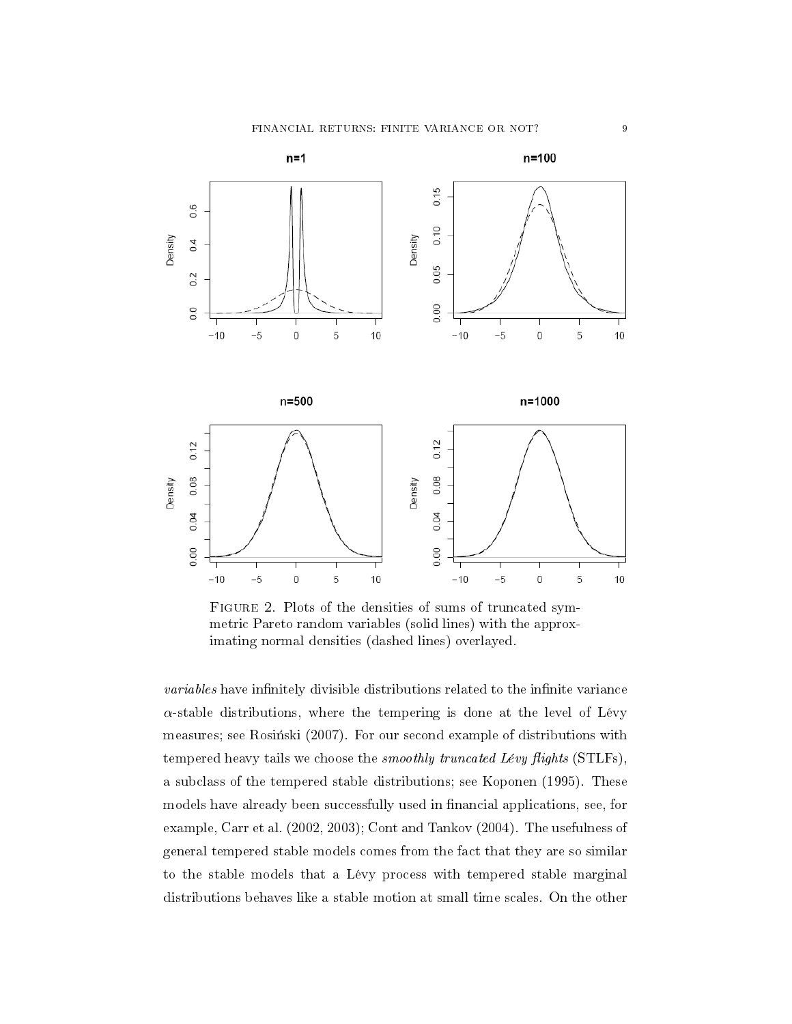

FIGURE 2. Plots of the densities of sums of truncated symmetric Pareto random variables (solid lines) with the approximating normal densities (dashed lines) overlayed.

variables have infinitely divisible distributions related to the infinite variance  $\alpha$ -stable distributions, where the tempering is done at the level of Lévy measures; see Rosiński (2007). For our second example of distributions with tempered heavy tails we choose the *smoothly truncated Lévy flights* (STLFs), a subclass of the tempered stable distributions; see Koponen (1995). These models have already been successfully used in financial applications, see, for example, Carr et al. (2002, 2003); Cont and Tankov (2004). The usefulness of general tempered stable models comes from the fact that they are so similar to the stable models that a Lévy process with tempered stable marginal distributions behaves like a stable motion at small time scales. On the other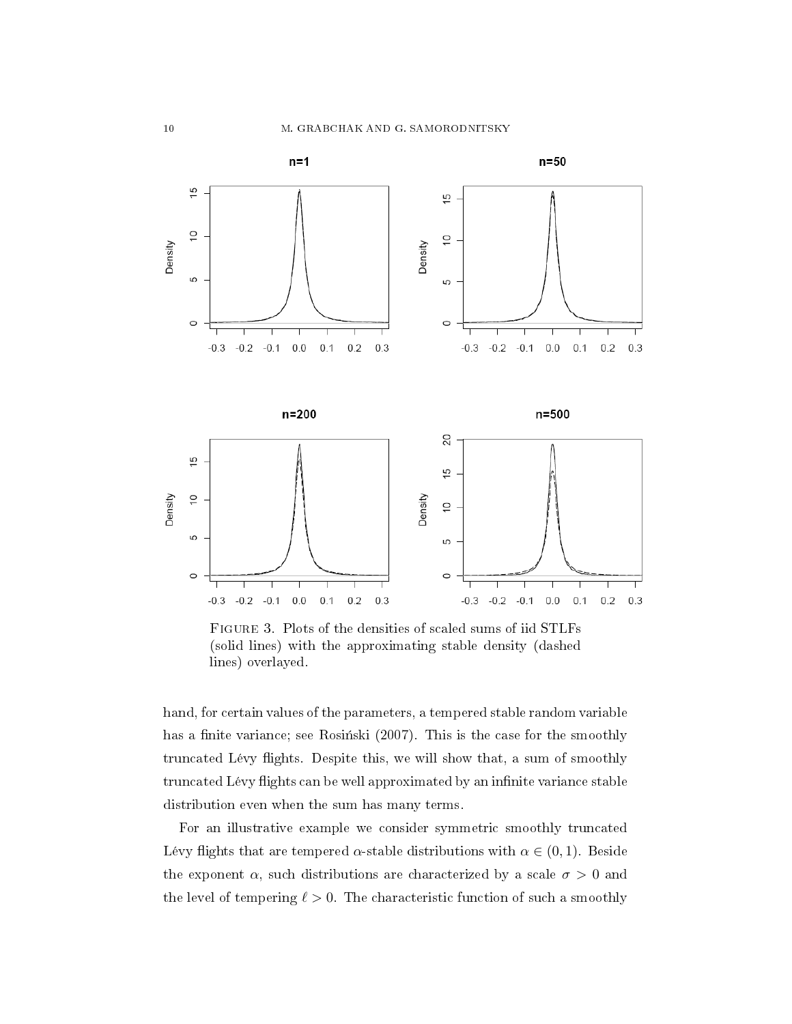

Figure 3. Plots of the densities of scaled sums of iid STLFs (solid lines) with the approximating stable density (dashed lines) overlayed.

hand, for certain values of the parameters, a tempered stable random variable has a finite variance; see Rosinski (2007). This is the case for the smoothly truncated Lévy flights. Despite this, we will show that, a sum of smoothly truncated Lévy flights can be well approximated by an infinite variance stable distribution even when the sum has many terms.

For an illustrative example we consider symmetric smoothly truncated Lévy flights that are tempered  $\alpha$ -stable distributions with  $\alpha \in (0,1)$ . Beside the exponent  $\alpha$ , such distributions are characterized by a scale  $\sigma > 0$  and the level of tempering  $\ell > 0$ . The characteristic function of such a smoothly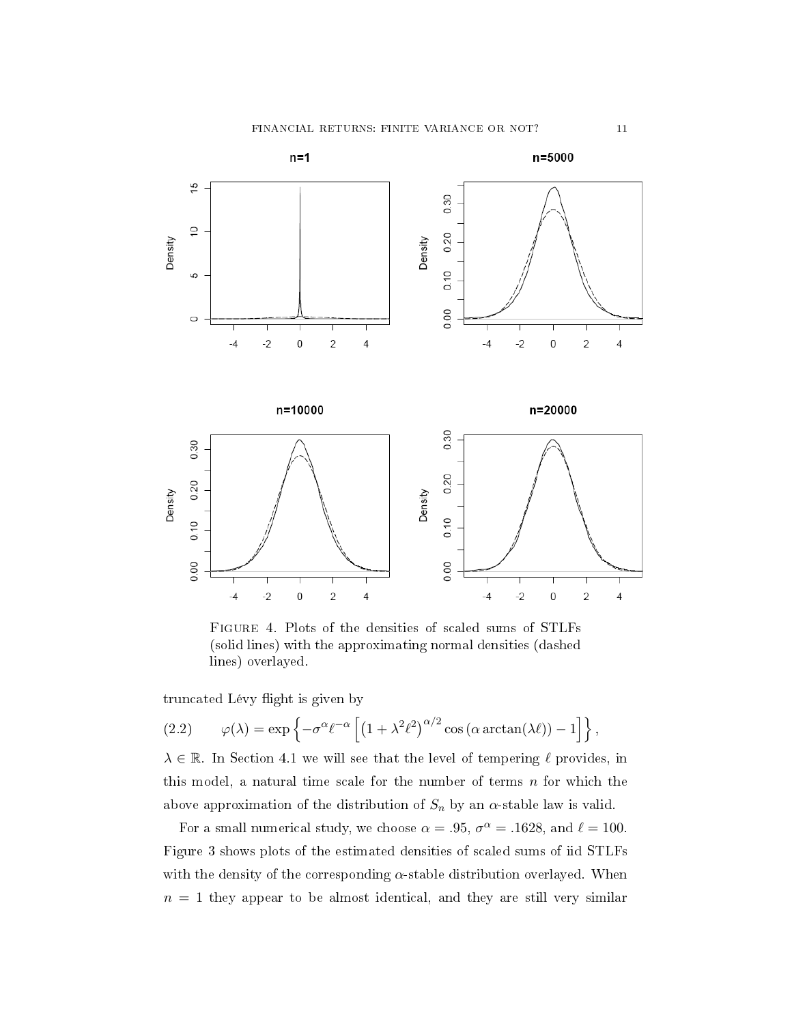

Figure 4. Plots of the densities of scaled sums of STLFs (solid lines) with the approximating normal densities (dashed lines) overlayed.

truncated Lévy flight is given by

(2.2) 
$$
\varphi(\lambda) = \exp \left\{-\sigma^{\alpha} \ell^{-\alpha} \left[ \left(1 + \lambda^2 \ell^2 \right)^{\alpha/2} \cos \left(\alpha \arctan(\lambda \ell) \right) - 1 \right] \right\},\,
$$

 $\lambda \in \mathbb{R}$ . In Section 4.1 we will see that the level of tempering  $\ell$  provides, in this model, a natural time scale for the number of terms  $n$  for which the above approximation of the distribution of  $S_n$  by an  $\alpha$ -stable law is valid.

For a small numerical study, we choose  $\alpha = .95$ ,  $\sigma^{\alpha} = .1628$ , and  $\ell = 100$ . Figure 3 shows plots of the estimated densities of scaled sums of iid STLFs with the density of the corresponding  $\alpha$ -stable distribution overlayed. When  $n = 1$  they appear to be almost identical, and they are still very similar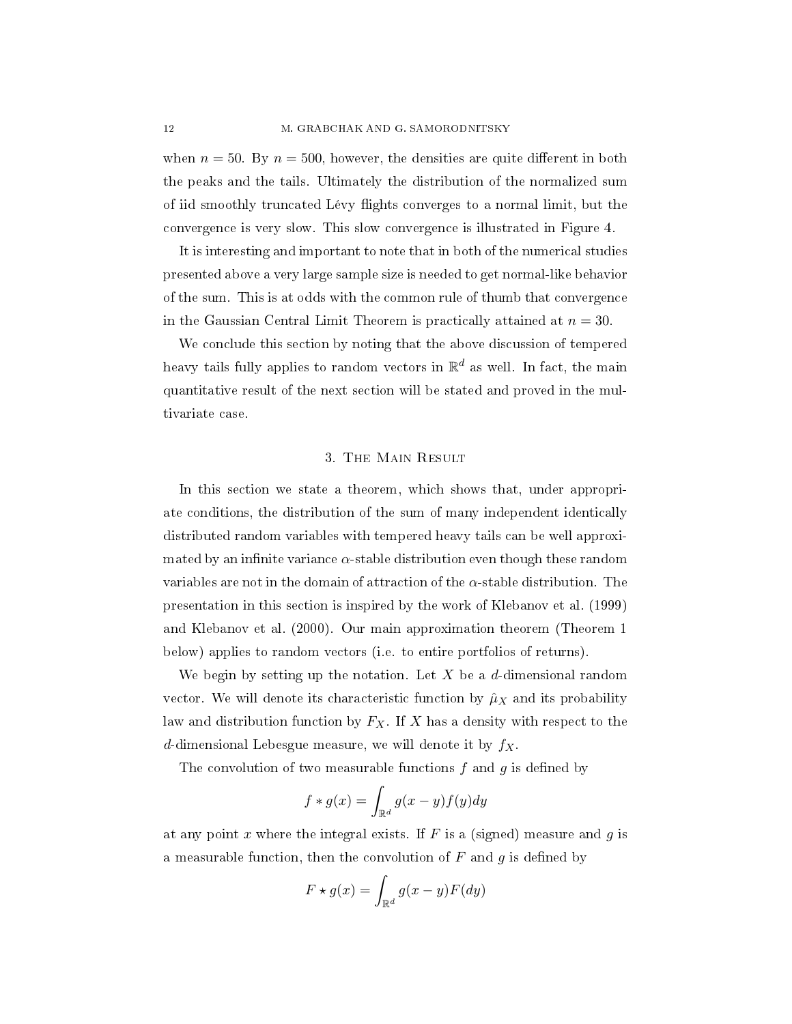when  $n = 50$ . By  $n = 500$ , however, the densities are quite different in both the peaks and the tails. Ultimately the distribution of the normalized sum of iid smoothly truncated Lévy flights converges to a normal limit, but the convergence is very slow. This slow convergence is illustrated in Figure 4.

It is interesting and important to note that in both of the numerical studies presented above a very large sample size is needed to get normal-like behavior of the sum. This is at odds with the common rule of thumb that convergence in the Gaussian Central Limit Theorem is practically attained at  $n = 30$ .

We conclude this section by noting that the above discussion of tempered heavy tails fully applies to random vectors in  $\mathbb{R}^d$  as well. In fact, the main quantitative result of the next section will be stated and proved in the multivariate case.

## 3. The Main Result

In this section we state a theorem, which shows that, under appropriate conditions, the distribution of the sum of many independent identically distributed random variables with tempered heavy tails can be well approximated by an infinite variance  $\alpha$ -stable distribution even though these random variables are not in the domain of attraction of the  $\alpha$ -stable distribution. The presentation in this section is inspired by the work of Klebanov et al. (1999) and Klebanov et al. (2000). Our main approximation theorem (Theorem 1 below) applies to random vectors (i.e. to entire portfolios of returns).

We begin by setting up the notation. Let  $X$  be a  $d$ -dimensional random vector. We will denote its characteristic function by  $\hat{\mu}_X$  and its probability law and distribution function by  $F_X$ . If X has a density with respect to the d-dimensional Lebesgue measure, we will denote it by  $f_X$ .

The convolution of two measurable functions  $f$  and  $g$  is defined by

$$
f * g(x) = \int_{\mathbb{R}^d} g(x - y) f(y) dy
$$

at any point x where the integral exists. If  $F$  is a (signed) measure and  $g$  is a measurable function, then the convolution of  $F$  and  $g$  is defined by

$$
F \star g(x) = \int_{\mathbb{R}^d} g(x - y) F(dy)
$$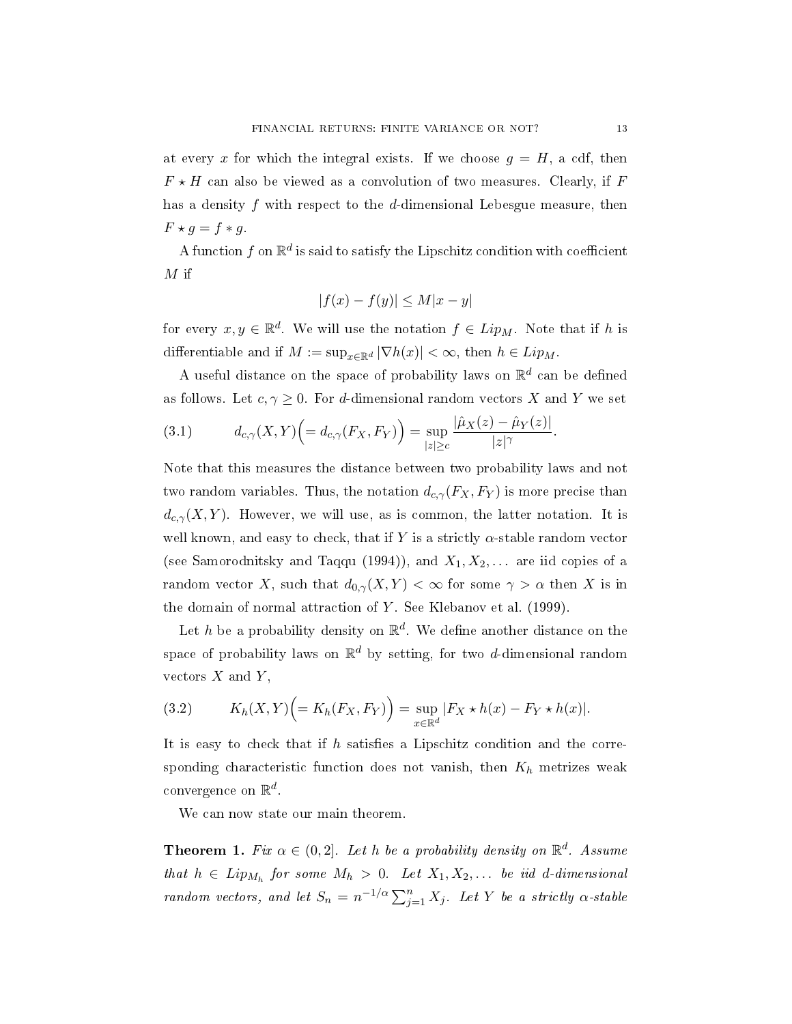at every x for which the integral exists. If we choose  $g = H$ , a cdf, then  $F \star H$  can also be viewed as a convolution of two measures. Clearly, if F has a density  $f$  with respect to the  $d$ -dimensional Lebesgue measure, then  $F \star g = f \star g$ 

A function  $f$  on  $\mathbb{R}^d$  is said to satisfy the Lipschitz condition with coefficient  $M$  if

$$
|f(x) - f(y)| \le M|x - y|
$$

for every  $x, y \in \mathbb{R}^d$ . We will use the notation  $f \in Lip_M$ . Note that if h is differentiable and if  $M := \sup_{x \in \mathbb{R}^d} |\nabla h(x)| < \infty$ , then  $h \in Lip_M$ .

A useful distance on the space of probability laws on  $\mathbb{R}^d$  can be defined as follows. Let  $c, \gamma \geq 0$ . For d-dimensional random vectors X and Y we set

(3.1) 
$$
d_{c,\gamma}(X,Y)\Big(=d_{c,\gamma}(F_X,F_Y)\Big)=\sup_{|z|\geq c}\frac{|\hat{\mu}_X(z)-\hat{\mu}_Y(z)|}{|z|^{\gamma}}.
$$

Note that this measures the distance between two probability laws and not two random variables. Thus, the notation  $d_{c,\gamma}(F_X, F_Y)$  is more precise than  $d_{c,\gamma}(X, Y)$ . However, we will use, as is common, the latter notation. It is well known, and easy to check, that if Y is a strictly  $\alpha$ -stable random vector (see Samorodnitsky and Taqqu (1994)), and  $X_1, X_2, \ldots$  are iid copies of a random vector X, such that  $d_{0,\gamma}(X, Y) < \infty$  for some  $\gamma > \alpha$  then X is in the domain of normal attraction of  $Y$ . See Klebanov et al. (1999).

Let h be a probability density on  $\mathbb{R}^d$ . We define another distance on the space of probability laws on  $\mathbb{R}^d$  by setting, for two d-dimensional random vectors  $X$  and  $Y$ ,

(3.2) 
$$
K_h(X,Y)\Bigl(=K_h(F_X,F_Y)\Bigr)=\sup_{x\in\mathbb{R}^d}|F_X\star h(x)-F_Y\star h(x)|.
$$

It is easy to check that if  $h$  satisfies a Lipschitz condition and the corresponding characteristic function does not vanish, then  $K_h$  metrizes weak convergence on  $\mathbb{R}^d$ .

We can now state our main theorem.

**Theorem 1.** Fix  $\alpha \in (0,2]$ . Let h be a probability density on  $\mathbb{R}^d$ . Assume that  $h \in Lip_{M_h}$  for some  $M_h > 0$ . Let  $X_1, X_2, \ldots$  be iid d-dimensional random vectors, and let  $S_n = n^{-1/\alpha} \sum_{j=1}^n X_j$ . Let Y be a strictly  $\alpha$ -stable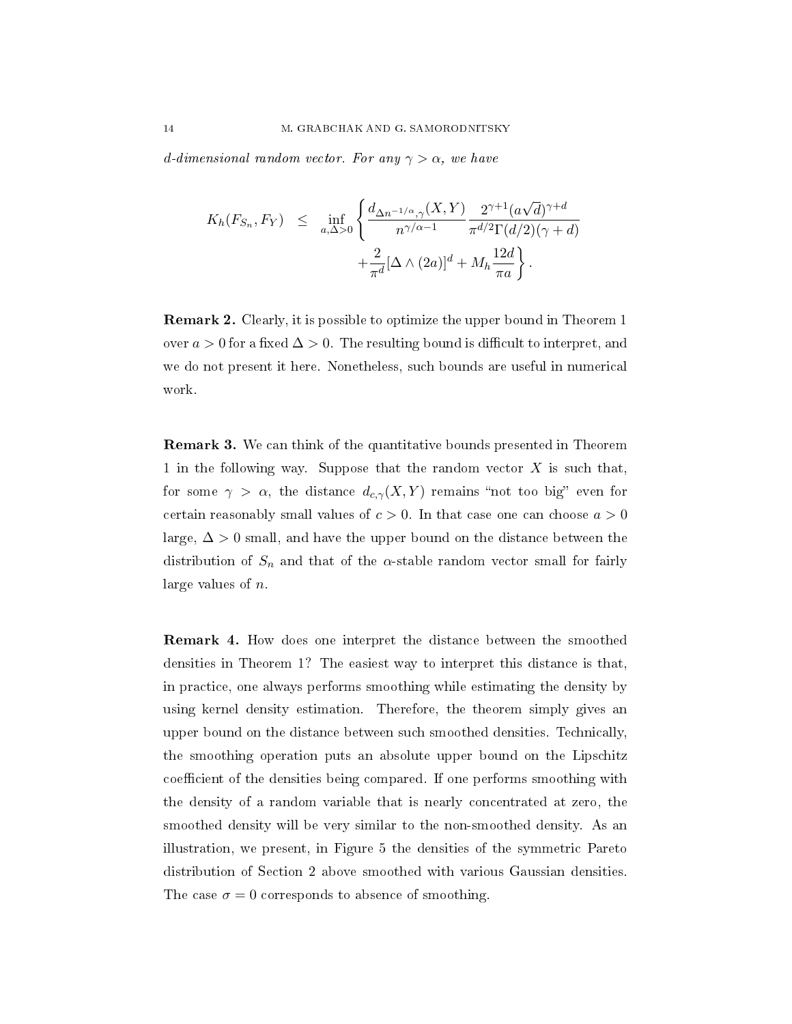d-dimensional random vector. For any  $\gamma > \alpha$ , we have

$$
K_h(F_{S_n}, F_Y) \leq \inf_{a, \Delta > 0} \left\{ \frac{d_{\Delta n^{-1/\alpha}, \gamma}(X, Y)}{n^{\gamma/\alpha - 1}} \frac{2^{\gamma + 1} (a\sqrt{d})^{\gamma + d}}{\pi^{d/2} \Gamma(d/2) (\gamma + d)} + \frac{2}{\pi^d} [\Delta \wedge (2a)]^d + M_h \frac{12d}{\pi a} \right\}.
$$

Remark 2. Clearly, it is possible to optimize the upper bound in Theorem 1 over  $a > 0$  for a fixed  $\Delta > 0$ . The resulting bound is difficult to interpret, and we do not present it here. Nonetheless, such bounds are useful in numerical work.

Remark 3. We can think of the quantitative bounds presented in Theorem 1 in the following way. Suppose that the random vector  $X$  is such that, for some  $\gamma > \alpha$ , the distance  $d_{c,\gamma}(X, Y)$  remains "not too big" even for certain reasonably small values of  $c > 0$ . In that case one can choose  $a > 0$ large,  $\Delta > 0$  small, and have the upper bound on the distance between the distribution of  $S_n$  and that of the  $\alpha$ -stable random vector small for fairly large values of n.

Remark 4. How does one interpret the distance between the smoothed densities in Theorem 1? The easiest way to interpret this distance is that, in practice, one always performs smoothing while estimating the density by using kernel density estimation. Therefore, the theorem simply gives an upper bound on the distance between such smoothed densities. Technically, the smoothing operation puts an absolute upper bound on the Lipschitz coefficient of the densities being compared. If one performs smoothing with the density of a random variable that is nearly concentrated at zero, the smoothed density will be very similar to the non-smoothed density. As an illustration, we present, in Figure 5 the densities of the symmetric Pareto distribution of Section 2 above smoothed with various Gaussian densities. The case  $\sigma = 0$  corresponds to absence of smoothing.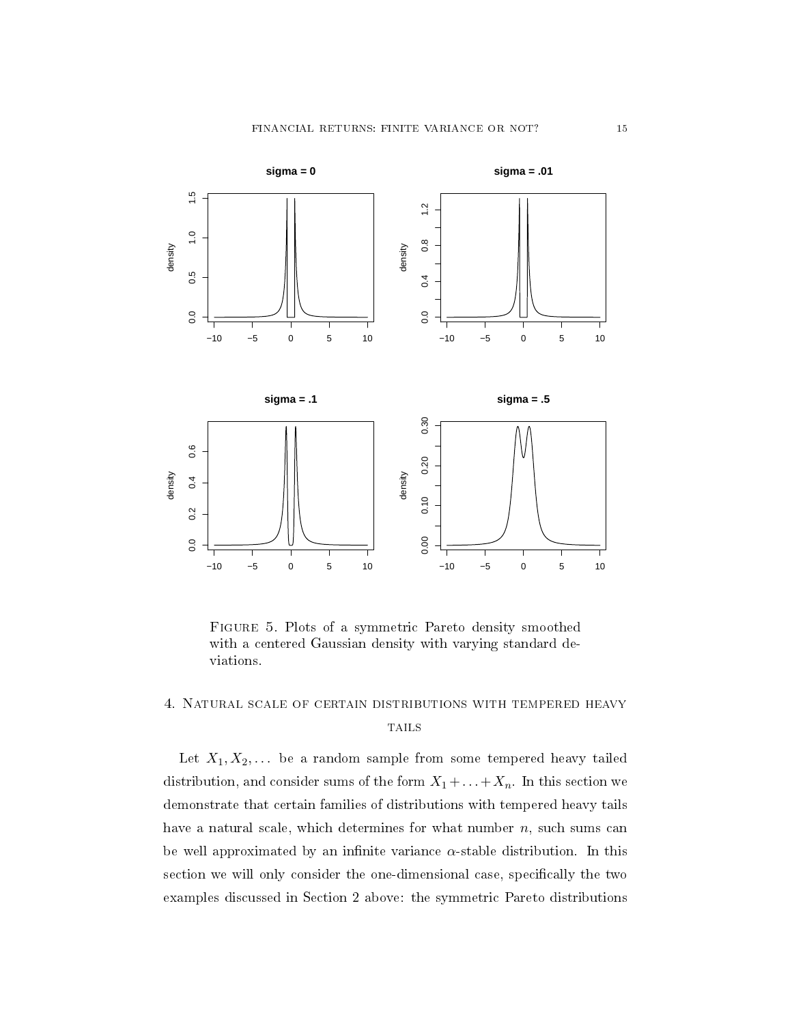

Figure 5. Plots of a symmetric Pareto density smoothed with a centered Gaussian density with varying standard deviations.

# 4. Natural scale of certain distributions with tempered heavy **TAILS**

Let  $X_1, X_2, \ldots$  be a random sample from some tempered heavy tailed distribution, and consider sums of the form  $X_1 + \ldots + X_n$ . In this section we demonstrate that certain families of distributions with tempered heavy tails have a natural scale, which determines for what number  $n$ , such sums can be well approximated by an infinite variance  $\alpha$ -stable distribution. In this section we will only consider the one-dimensional case, specifically the two examples discussed in Section 2 above: the symmetric Pareto distributions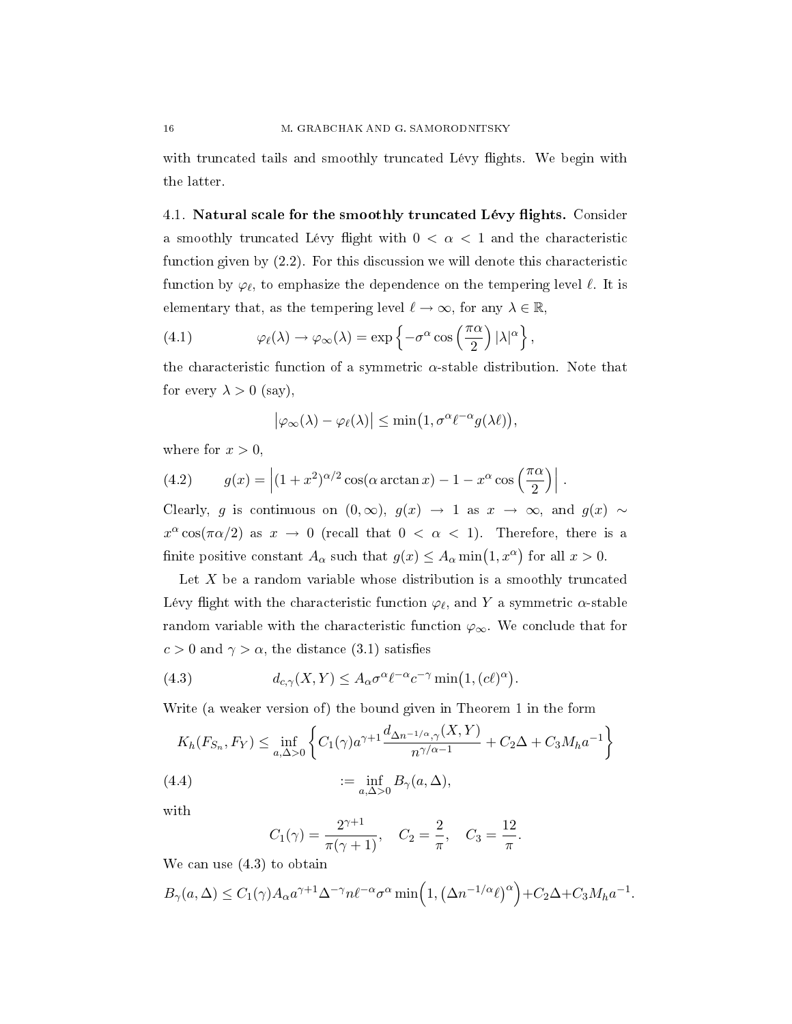with truncated tails and smoothly truncated Lévy flights. We begin with the latter.

4.1. Natural scale for the smoothly truncated Lévy flights. Consider a smoothly truncated Lévy flight with  $0 < \alpha < 1$  and the characteristic function given by (2.2). For this discussion we will denote this characteristic function by  $\varphi_\ell,$  to emphasize the dependence on the tempering level  $\ell.$  It is elementary that, as the tempering level  $\ell \to \infty$ , for any  $\lambda \in \mathbb{R}$ ,

(4.1) 
$$
\varphi_{\ell}(\lambda) \to \varphi_{\infty}(\lambda) = \exp \left\{-\sigma^{\alpha} \cos \left(\frac{\pi \alpha}{2}\right) |\lambda|^{\alpha}\right\},\,
$$

the characteristic function of a symmetric  $\alpha$ -stable distribution. Note that for every  $\lambda > 0$  (say),

$$
\left|\varphi_{\infty}(\lambda)-\varphi_{\ell}(\lambda)\right|\leq \min\bigl(1,\sigma^{\alpha}\ell^{-\alpha}g(\lambda\ell)\bigr),
$$

where for  $x > 0$ ,

(4.2) 
$$
g(x) = \left| (1+x^2)^{\alpha/2} \cos(\alpha \arctan x) - 1 - x^{\alpha} \cos\left(\frac{\pi \alpha}{2}\right) \right|.
$$

Clearly, g is continuous on  $(0, \infty)$ ,  $g(x) \rightarrow 1$  as  $x \rightarrow \infty$ , and  $g(x) \sim$  $x^{\alpha}\cos(\pi\alpha/2)$  as  $x \to 0$  (recall that  $0 < \alpha < 1$ ). Therefore, there is a finite positive constant  $A_{\alpha}$  such that  $g(x) \le A_{\alpha} \min(1, x^{\alpha})$  for all  $x > 0$ .

Let  $X$  be a random variable whose distribution is a smoothly truncated Lévy flight with the characteristic function  $\varphi_\ell$ , and Y a symmetric  $\alpha$ -stable random variable with the characteristic function  $\varphi_{\infty}$ . We conclude that for  $c > 0$  and  $\gamma > \alpha$ , the distance (3.1) satisfies

(4.3) 
$$
d_{c,\gamma}(X,Y) \leq A_{\alpha} \sigma^{\alpha} \ell^{-\alpha} c^{-\gamma} \min(1,(c\ell)^{\alpha}).
$$

Write (a weaker version of) the bound given in Theorem 1 in the form

$$
K_h(F_{S_n}, F_Y) \le \inf_{a,\Delta>0} \left\{ C_1(\gamma) a^{\gamma+1} \frac{d_{\Delta n^{-1/\alpha},\gamma}(X,Y)}{n^{\gamma/\alpha-1}} + C_2 \Delta + C_3 M_h a^{-1} \right\}
$$
  
(4.4)  

$$
:= \inf_{a,\Delta>0} B_\gamma(a,\Delta),
$$

with

$$
C_1(\gamma) = \frac{2^{\gamma+1}}{\pi(\gamma+1)}, \quad C_2 = \frac{2}{\pi}, \quad C_3 = \frac{12}{\pi}.
$$

We can use (4.3) to obtain

$$
B_{\gamma}(a,\Delta) \leq C_1(\gamma)A_{\alpha}a^{\gamma+1}\Delta^{-\gamma}n\ell^{-\alpha}\sigma^{\alpha}\min\left(1,\left(\Delta n^{-1/\alpha}\ell\right)^{\alpha}\right)+C_2\Delta+C_3M_ha^{-1}.
$$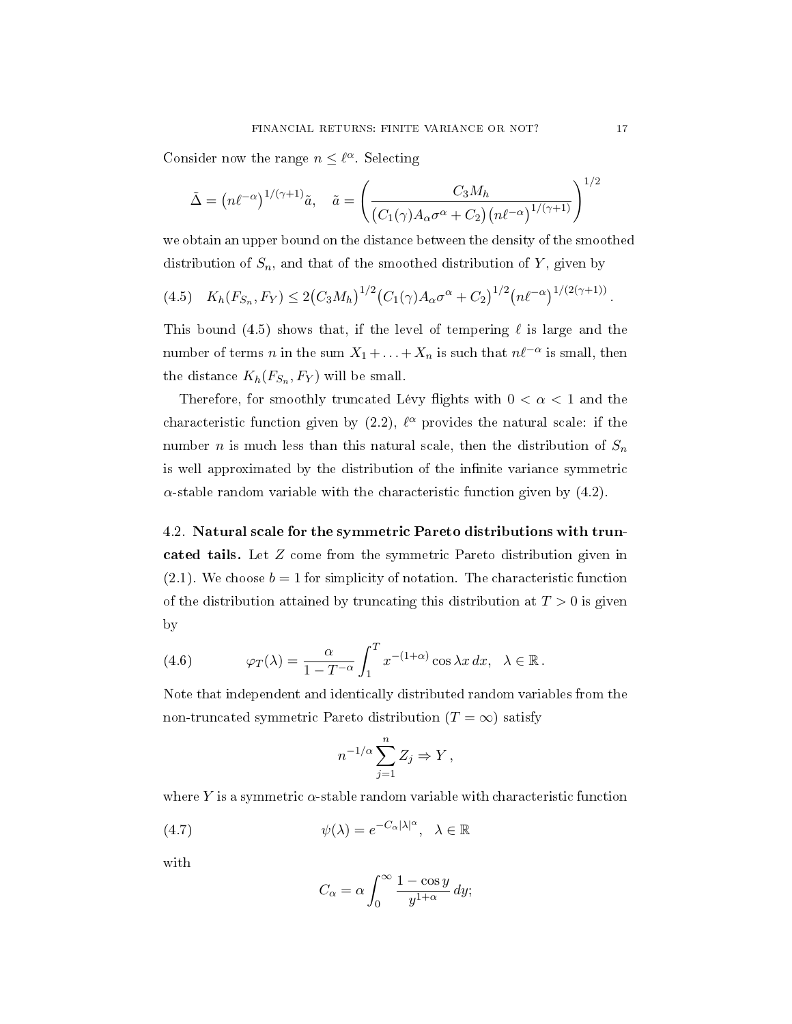Consider now the range  $n \leq \ell^{\alpha}$ . Selecting

$$
\tilde{\Delta} = (n\ell^{-\alpha})^{1/(\gamma+1)}\tilde{a}, \quad \tilde{a} = \left(\frac{C_3 M_h}{(C_1(\gamma)A_\alpha\sigma^\alpha + C_2)(n\ell^{-\alpha})^{1/(\gamma+1)}}\right)^{1/2}
$$

we obtain an upper bound on the distance between the density of the smoothed distribution of  $S_n$ , and that of the smoothed distribution of Y, given by

$$
(4.5) \quad K_h(F_{S_n}, F_Y) \le 2\big(C_3 M_h\big)^{1/2} \big(C_1(\gamma)A_\alpha \sigma^\alpha + C_2\big)^{1/2} \big(n\ell^{-\alpha}\big)^{1/(2(\gamma+1))}
$$

This bound (4.5) shows that, if the level of tempering  $\ell$  is large and the number of terms n in the sum  $X_1 + ... + X_n$  is such that  $n\ell^{-\alpha}$  is small, then the distance  $K_h(F_{S_n}, F_Y)$  will be small.

Therefore, for smoothly truncated Lévy flights with  $0 < \alpha < 1$  and the characteristic function given by  $(2.2)$ ,  $\ell^{\alpha}$  provides the natural scale: if the number *n* is much less than this natural scale, then the distribution of  $S_n$ is well approximated by the distribution of the infinite variance symmetric  $\alpha$ -stable random variable with the characteristic function given by  $(4.2)$ .

4.2. Natural scale for the symmetric Pareto distributions with truncated tails. Let Z come from the symmetric Pareto distribution given in  $(2.1)$ . We choose  $b = 1$  for simplicity of notation. The characteristic function of the distribution attained by truncating this distribution at  $T > 0$  is given by

(4.6) 
$$
\varphi_T(\lambda) = \frac{\alpha}{1 - T^{-\alpha}} \int_1^T x^{-(1+\alpha)} \cos \lambda x \, dx, \quad \lambda \in \mathbb{R}.
$$

Note that independent and identically distributed random variables from the non-truncated symmetric Pareto distribution  $(T = \infty)$  satisfy

$$
n^{-1/\alpha} \sum_{j=1}^{n} Z_j \Rightarrow Y,
$$

where Y is a symmetric  $\alpha$ -stable random variable with characteristic function

(4.7) 
$$
\psi(\lambda) = e^{-C_{\alpha}|\lambda|^{\alpha}}, \quad \lambda \in \mathbb{R}
$$

with

$$
C_{\alpha} = \alpha \int_0^{\infty} \frac{1 - \cos y}{y^{1 + \alpha}} \, dy;
$$

.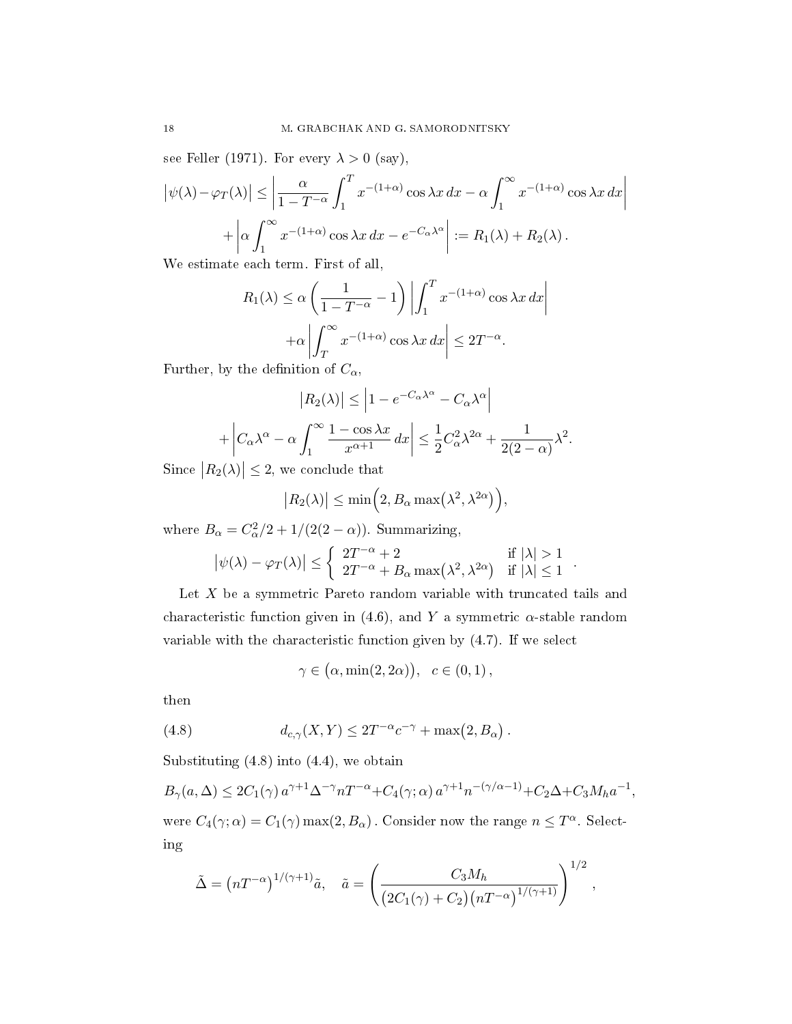see Feller (1971). For every  $\lambda > 0$  (say),

$$
\left|\psi(\lambda) - \varphi_T(\lambda)\right| \le \left|\frac{\alpha}{1 - T^{-\alpha}} \int_1^T x^{-(1+\alpha)} \cos \lambda x \, dx - \alpha \int_1^\infty x^{-(1+\alpha)} \cos \lambda x \, dx\right|
$$

$$
+ \left|\alpha \int_1^\infty x^{-(1+\alpha)} \cos \lambda x \, dx - e^{-C_\alpha \lambda^\alpha} \right| := R_1(\lambda) + R_2(\lambda) .
$$

We estimate each term. First of all,

$$
R_1(\lambda) \le \alpha \left( \frac{1}{1 - T^{-\alpha}} - 1 \right) \left| \int_1^T x^{-(1+\alpha)} \cos \lambda x \, dx \right|
$$

$$
+ \alpha \left| \int_T^\infty x^{-(1+\alpha)} \cos \lambda x \, dx \right| \le 2T^{-\alpha}.
$$

Further, by the definition of  $C_{\alpha}$ ,

$$
|R_2(\lambda)| \le \left| 1 - e^{-C_\alpha \lambda^\alpha} - C_\alpha \lambda^\alpha \right|
$$
  
+ 
$$
\left| C_\alpha \lambda^\alpha - \alpha \int_1^\infty \frac{1 - \cos \lambda x}{x^{\alpha + 1}} dx \right| \le \frac{1}{2} C_\alpha^2 \lambda^{2\alpha} + \frac{1}{2(2 - \alpha)} \lambda^2.
$$

Since  $|R_2(\lambda)| \leq 2$ , we conclude that

$$
|R_2(\lambda)| \le \min\Big(2, B_\alpha \max\big(\lambda^2, \lambda^{2\alpha}\big)\Big),\,
$$

where  $B_{\alpha} = C_{\alpha}^2/2 + 1/(2(2 - \alpha))$ . Summarizing,

$$
\big|\psi(\lambda)-\varphi_T(\lambda)\big|\le \left\{\begin{array}{ll}2T^{-\alpha}+2&\text{if }|\lambda|>1\\2T^{-\alpha}+B_\alpha\max\big(\lambda^2,\lambda^{2\alpha}\big)&\text{if }|\lambda|\le 1\end{array}\right..
$$

Let  $X$  be a symmetric Pareto random variable with truncated tails and characteristic function given in (4.6), and Y a symmetric  $\alpha$ -stable random variable with the characteristic function given by (4.7). If we select

$$
\gamma \in (\alpha, \min(2, 2\alpha)), \quad c \in (0, 1),
$$

then

(4.8) 
$$
d_{c,\gamma}(X,Y) \leq 2T^{-\alpha}c^{-\gamma} + \max(2,B_{\alpha}).
$$

Substituting  $(4.8)$  into  $(4.4)$ , we obtain

$$
B_{\gamma}(a,\Delta) \le 2C_1(\gamma) a^{\gamma+1} \Delta^{-\gamma} n T^{-\alpha} + C_4(\gamma;\alpha) a^{\gamma+1} n^{-(\gamma/\alpha-1)} + C_2 \Delta + C_3 M_h a^{-1},
$$

were  $C_4(\gamma;\alpha) = C_1(\gamma) \max(2, B_\alpha)$ . Consider now the range  $n \leq T^{\alpha}$ . Selecting

$$
\tilde{\Delta} = \left( nT^{-\alpha} \right)^{1/(\gamma+1)} \tilde{a}, \quad \tilde{a} = \left( \frac{C_3 M_h}{\left( 2C_1(\gamma) + C_2 \right) \left( nT^{-\alpha} \right)^{1/(\gamma+1)}} \right)^{1/2},
$$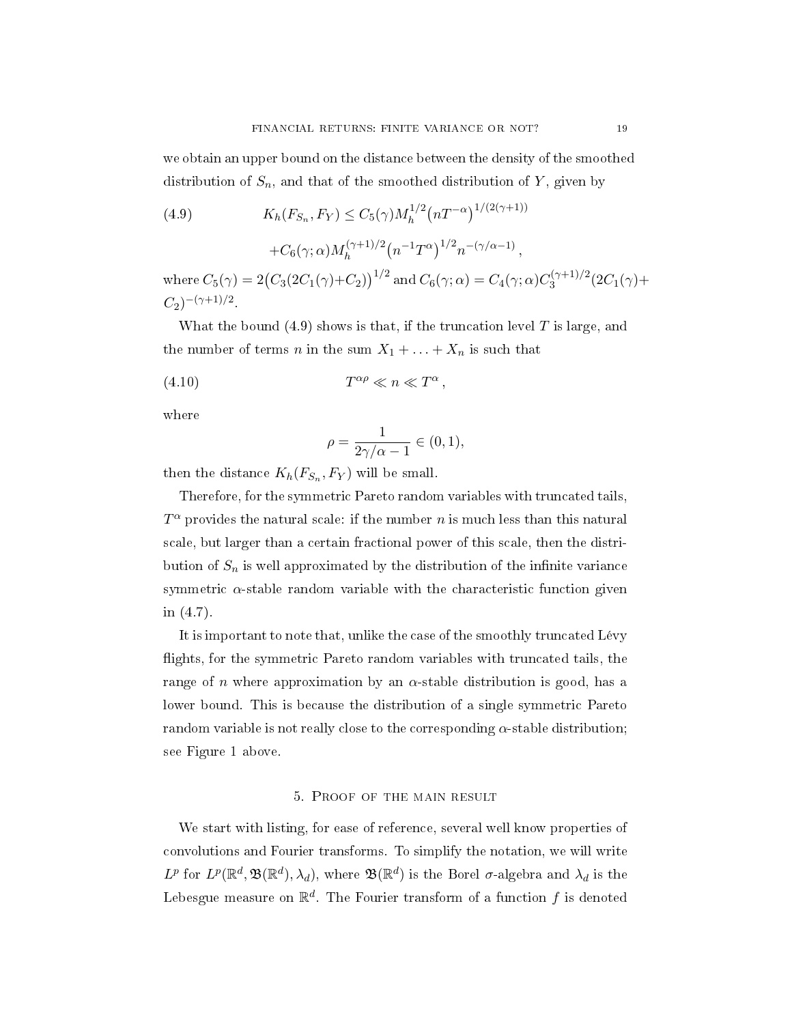we obtain an upper bound on the distance between the density of the smoothed distribution of  $S_n$ , and that of the smoothed distribution of Y, given by

(4.9) 
$$
K_h(F_{S_n}, F_Y) \le C_5(\gamma) M_h^{1/2} (nT^{-\alpha})^{1/(2(\gamma+1))} + C_6(\gamma; \alpha) M_h^{(\gamma+1)/2} (n^{-1}T^{\alpha})^{1/2} n^{-(\gamma/\alpha-1)},
$$

where  $C_5(\gamma)=2\big(C_3(2C_1(\gamma)+C_2)\big)^{1/2}$  and  $C_6(\gamma;\alpha)=C_4(\gamma;\alpha)C_3^{(\gamma+1)/2}$  $3^{(17+1)/2} (2C_1(\gamma)+$  $C_2$ <sup> $-(\gamma+1)/2$ </sup>.

,

What the bound  $(4.9)$  shows is that, if the truncation level T is large, and the number of terms n in the sum  $X_1 + \ldots + X_n$  is such that

$$
(4.10)\t\t T^{\alpha\rho} \ll n \ll T^{\alpha}
$$

where

$$
\rho = \frac{1}{2\gamma/\alpha - 1} \in (0, 1),
$$

then the distance  $K_h(F_{S_n}, F_Y)$  will be small.

Therefore, for the symmetric Pareto random variables with truncated tails,  $T^{\alpha}$  provides the natural scale: if the number n is much less than this natural scale, but larger than a certain fractional power of this scale, then the distribution of  $S_n$  is well approximated by the distribution of the infinite variance symmetric  $\alpha$ -stable random variable with the characteristic function given in (4.7).

It is important to note that, unlike the case of the smoothly truncated Lévy flights, for the symmetric Pareto random variables with truncated tails, the range of *n* where approximation by an  $\alpha$ -stable distribution is good, has a lower bound. This is because the distribution of a single symmetric Pareto random variable is not really close to the corresponding  $\alpha$ -stable distribution; see Figure 1 above.

## 5. Proof of the main result

We start with listing, for ease of reference, several well know properties of convolutions and Fourier transforms. To simplify the notation, we will write  $L^p$  for  $L^p(\mathbb{R}^d, \mathfrak{B}(\mathbb{R}^d), \lambda_d)$ , where  $\mathfrak{B}(\mathbb{R}^d)$  is the Borel  $\sigma$ -algebra and  $\lambda_d$  is the Lebesgue measure on  $\mathbb{R}^d$ . The Fourier transform of a function  $f$  is denoted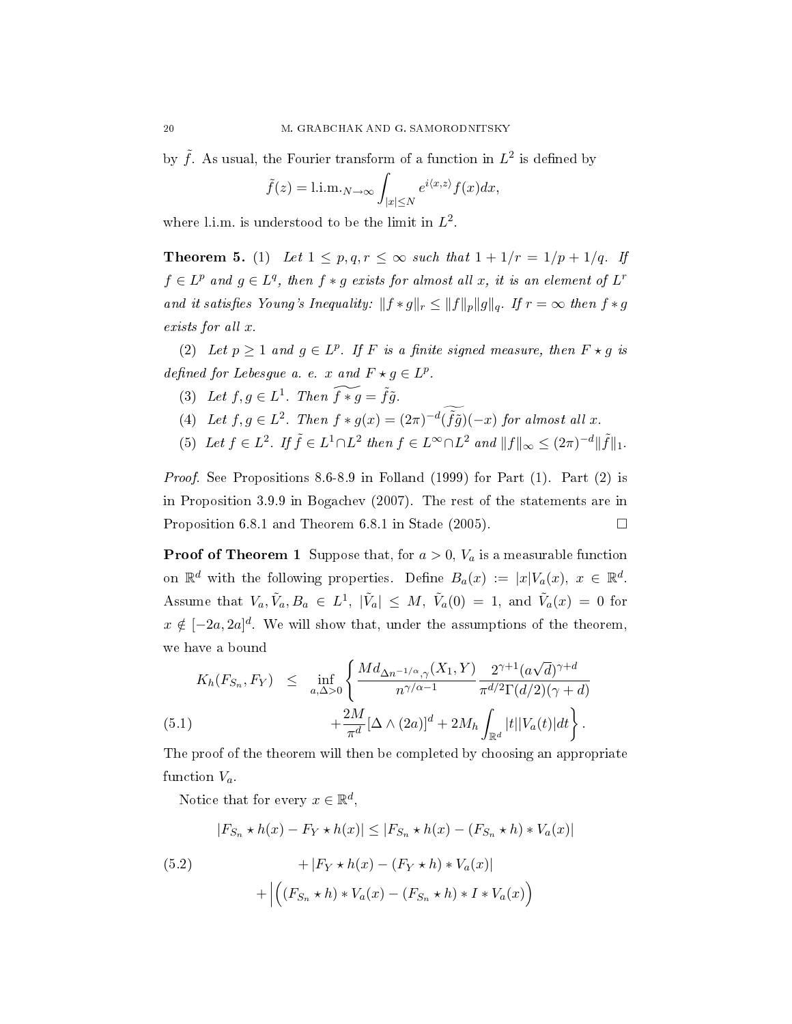by  $\tilde{f}$ . As usual, the Fourier transform of a function in  $L^2$  is defined by

$$
\tilde{f}(z) = 1 \cdot 1 \cdot m \cdot N \to \infty \int_{|x| \le N} e^{i \langle x, z \rangle} f(x) dx,
$$

where l.i.m. is understood to be the limit in  $L^2$ .

**Theorem 5.** (1) Let  $1 \leq p, q, r \leq \infty$  such that  $1 + 1/r = 1/p + 1/q$ . If  $f \in L^p$  and  $g \in L^q$ , then  $f * g$  exists for almost all x, it is an element of  $L^r$ and it satisfies Young's Inequality:  $||f * g||_r \le ||f||_p ||g||_q$ . If  $r = \infty$  then  $f * g$ exists for all x.

(2) Let  $p \geq 1$  and  $g \in L^p$ . If F is a finite signed measure, then  $F \star g$  is defined for Lebesgue a. e. x and  $F \star g \in L^p$ .

- (3) Let  $f, g \in L^1$ . Then  $\widetilde{f * g} = \widetilde{f} \widetilde{g}$ .
- (4) Let  $f, g \in L^2$ . Then  $f * g(x) = (2\pi)^{-d}(\tilde{f}\tilde{g})(-x)$  for almost all x.
- (5) Let  $f \in L^2$ . If  $\tilde{f} \in L^1 \cap L^2$  then  $f \in L^{\infty} \cap L^2$  and  $||f||_{\infty} \leq (2\pi)^{-d} ||\tilde{f}||_1$ .

Proof. See Propositions 8.6-8.9 in Folland (1999) for Part (1). Part (2) is in Proposition 3.9.9 in Bogachev (2007). The rest of the statements are in Proposition 6.8.1 and Theorem 6.8.1 in Stade (2005).  $\Box$ 

**Proof of Theorem 1** Suppose that, for  $a > 0$ ,  $V_a$  is a measurable function on  $\mathbb{R}^d$  with the following properties. Define  $B_a(x) := |x| V_a(x)$ ,  $x \in \mathbb{R}^d$ . Assume that  $V_a, \tilde{V}_a, B_a \in L^1$ ,  $|\tilde{V}_a| \leq M$ ,  $\tilde{V}_a(0) = 1$ , and  $\tilde{V}_a(x) = 0$  for  $x \notin [-2a, 2a]^d$ . We will show that, under the assumptions of the theorem, we have a bound

(5.1) 
$$
K_h(F_{S_n}, F_Y) \leq \inf_{a, \Delta > 0} \left\{ \frac{Md_{\Delta n^{-1/\alpha}, \gamma}(X_1, Y)}{n^{\gamma/\alpha - 1}} \frac{2^{\gamma + 1} (a\sqrt{d})^{\gamma + d}}{\pi^{d/2} \Gamma(d/2) (\gamma + d)} + \frac{2M}{\pi^d} [\Delta \wedge (2a)]^d + 2M_h \int_{\mathbb{R}^d} |t| |V_a(t)| dt \right\}.
$$

The proof of the theorem will then be completed by choosing an appropriate function  $V_a$ .

Notice that for every  $x \in \mathbb{R}^d$ ,

$$
|F_{S_n} \star h(x) - F_Y \star h(x)| \le |F_{S_n} \star h(x) - (F_{S_n} \star h) \star V_a(x)|
$$

(5.2) 
$$
+ |F_Y * h(x) - (F_Y * h) * V_a(x)|
$$

$$
+ \left| \left( (F_{S_n} * h) * V_a(x) - (F_{S_n} * h) * I * V_a(x) \right) \right| \right|
$$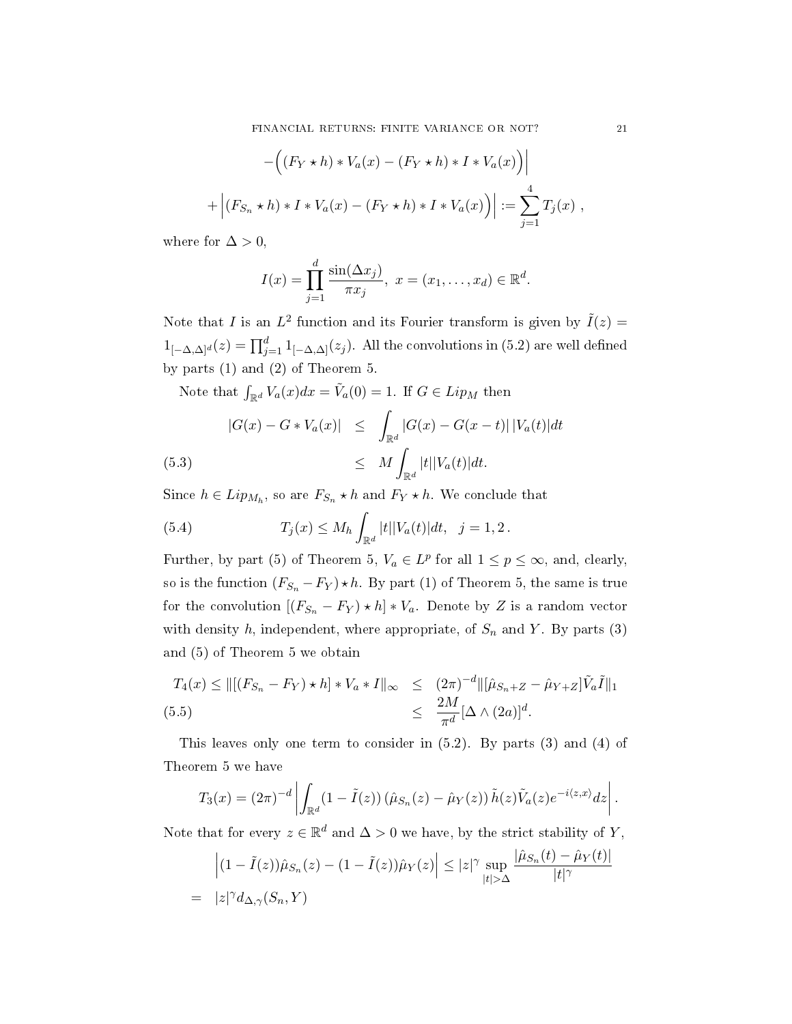$$
-\Big((F_Y \star h) * V_a(x) - (F_Y \star h) * I * V_a(x)\Big)\Big|
$$
  
+ 
$$
\Big|(F_{S_n} \star h) * I * V_a(x) - (F_Y \star h) * I * V_a(x)\Big)\Big| := \sum_{j=1}^4 T_j(x) ,
$$

where for  $\Delta > 0$ ,

$$
I(x) = \prod_{j=1}^{d} \frac{\sin(\Delta x_j)}{\pi x_j}, \ x = (x_1, \dots, x_d) \in \mathbb{R}^d.
$$

Note that *I* is an  $L^2$  function and its Fourier transform is given by  $\tilde{I}(z) =$  $1_{[-\Delta,\Delta]^d}(z) = \prod_{j=1}^d 1_{[-\Delta,\Delta]}(z_j)$ . All the convolutions in (5.2) are well defined by parts (1) and (2) of Theorem 5.

Note that  $\int_{\mathbb{R}^d} V_a(x)dx = \tilde{V}_a(0) = 1$ . If  $G \in Lip_M$  then

(5.3) 
$$
|G(x) - G * V_a(x)| \leq \int_{\mathbb{R}^d} |G(x) - G(x - t)| |V_a(t)| dt
$$
  

$$
\leq M \int_{\mathbb{R}^d} |t| |V_a(t)| dt.
$$

Since  $h \in Lip_{M_h}$ , so are  $F_{S_n} \star h$  and  $F_Y \star h$ . We conclude that

(5.4) 
$$
T_j(x) \leq M_h \int_{\mathbb{R}^d} |t| |V_a(t)| dt, \quad j = 1, 2.
$$

Further, by part (5) of Theorem 5,  $V_a \in L^p$  for all  $1 \leq p \leq \infty$ , and, clearly, so is the function  $(F_{S_n} - F_Y) \star h$ . By part (1) of Theorem 5, the same is true for the convolution  $[(F_{S_n} - F_Y) \star h] * V_a$ . Denote by Z is a random vector with density h, independent, where appropriate, of  $S_n$  and Y. By parts (3) and (5) of Theorem 5 we obtain

$$
T_4(x) \le ||[(F_{S_n} - F_Y) \star h] \star V_a \star I||_{\infty} \le (2\pi)^{-d} ||[\hat{\mu}_{S_n + Z} - \hat{\mu}_{Y + Z}]\tilde{V}_a\tilde{I}||_1
$$
  
(5.5)  

$$
\le \frac{2M}{\pi^d} [\Delta \wedge (2a)]^d.
$$

This leaves only one term to consider in (5.2). By parts (3) and (4) of Theorem 5 we have

$$
T_3(x) = (2\pi)^{-d} \left| \int_{\mathbb{R}^d} (1 - \tilde{I}(z)) \left( \hat{\mu}_{S_n}(z) - \hat{\mu}_Y(z) \right) \tilde{h}(z) \tilde{V}_a(z) e^{-i \langle z, x \rangle} dz \right|.
$$

Note that for every  $z \in \mathbb{R}^d$  and  $\Delta > 0$  we have, by the strict stability of Y,

$$
\left| (1 - \tilde{I}(z))\hat{\mu}_{S_n}(z) - (1 - \tilde{I}(z))\hat{\mu}_Y(z) \right| \le |z|^\gamma \sup_{|t| > \Delta} \frac{|\hat{\mu}_{S_n}(t) - \hat{\mu}_Y(t)|}{|t|^\gamma}
$$
  
=  $|z|^\gamma d_{\Delta,\gamma}(S_n, Y)$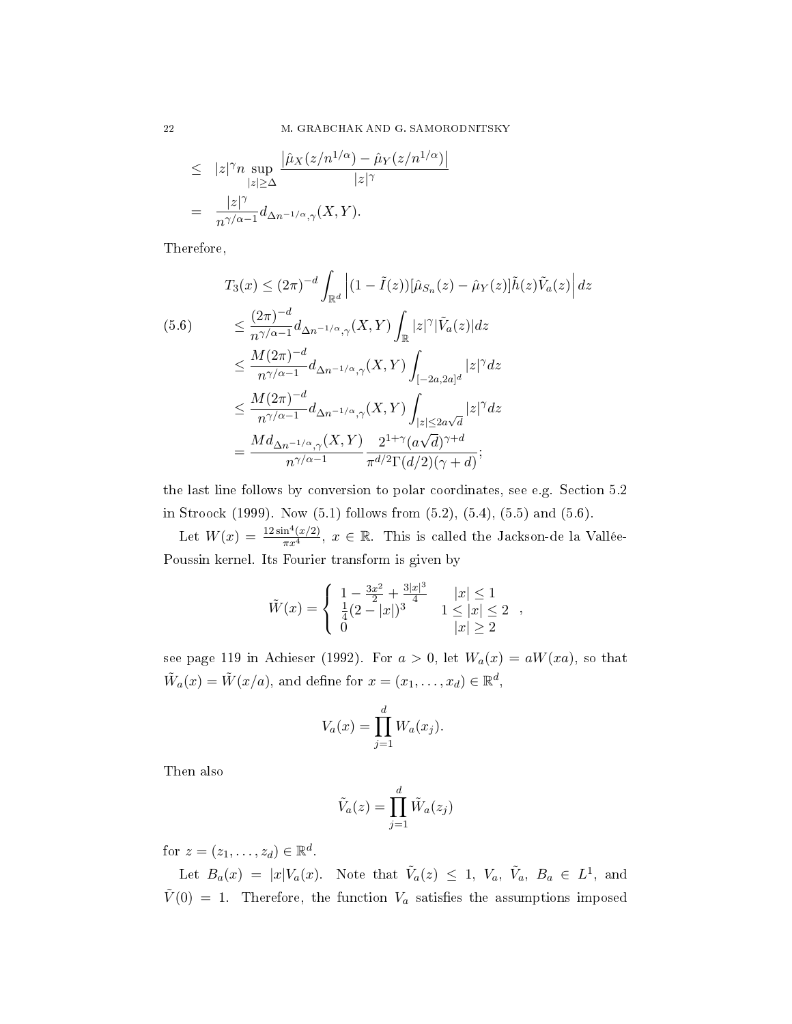$\overline{\mathsf{I}}$ 

$$
\leq |z|^{\gamma} n \sup_{|z| \geq \Delta} \frac{|\hat{\mu}_X(z/n^{1/\alpha}) - \hat{\mu}_Y(z/n^{1/\alpha})}{|z|^{\gamma}}
$$

$$
= \frac{|z|^{\gamma}}{n^{\gamma/\alpha - 1}} d_{\Delta n^{-1/\alpha}, \gamma}(X, Y).
$$

Therefore,

$$
T_3(x) \le (2\pi)^{-d} \int_{\mathbb{R}^d} \left| (1 - \tilde{I}(z)) [\hat{\mu}_{S_n}(z) - \hat{\mu}_Y(z)] \tilde{h}(z) \tilde{V}_a(z) \right| dz
$$
  
\n
$$
\le \frac{(2\pi)^{-d}}{n^{\gamma/\alpha - 1}} d_{\Delta n^{-1/\alpha}, \gamma}(X, Y) \int_{\mathbb{R}} |z|^\gamma |\tilde{V}_a(z)| dz
$$
  
\n
$$
\le \frac{M(2\pi)^{-d}}{n^{\gamma/\alpha - 1}} d_{\Delta n^{-1/\alpha}, \gamma}(X, Y) \int_{[-2a, 2a]^d} |z|^\gamma dz
$$
  
\n
$$
\le \frac{M(2\pi)^{-d}}{n^{\gamma/\alpha - 1}} d_{\Delta n^{-1/\alpha}, \gamma}(X, Y) \int_{|z| \le 2a\sqrt{d}} |z|^\gamma dz
$$
  
\n
$$
= \frac{M d_{\Delta n^{-1/\alpha}, \gamma}(X, Y)}{n^{\gamma/\alpha - 1}} \frac{2^{1+\gamma}(a\sqrt{d})^{\gamma + d}}{\pi^{d/2} \Gamma(d/2)(\gamma + d)};
$$

the last line follows by conversion to polar coordinates, see e.g. Section 5.2 in Stroock (1999). Now (5.1) follows from (5.2), (5.4), (5.5) and (5.6).

Let  $W(x) = \frac{12\sin^4(x/2)}{\pi x^4}$ ,  $x \in \mathbb{R}$ . This is called the Jackson-de la Vallée-Poussin kernel. Its Fourier transform is given by

$$
\tilde{W}(x) = \begin{cases}\n1 - \frac{3x^2}{2} + \frac{3|x|^3}{4} & |x| \le 1 \\
\frac{1}{4}(2 - |x|)^3 & 1 \le |x| \le 2 \\
0 & |x| \ge 2\n\end{cases}
$$

see page 119 in Achieser (1992). For  $a > 0$ , let  $W_a(x) = aW(xa)$ , so that  $\tilde{W}_a(x) = \tilde{W}(x/a)$ , and define for  $x = (x_1, \ldots, x_d) \in \mathbb{R}^d$ ,

$$
V_a(x) = \prod_{j=1}^d W_a(x_j).
$$

Then also

$$
\tilde{V}_a(z) = \prod_{j=1}^d \tilde{W}_a(z_j)
$$

for  $z = (z_1, \ldots, z_d) \in \mathbb{R}^d$ .

Let  $B_a(x) = |x| V_a(x)$ . Note that  $\tilde{V}_a(z) \leq 1$ ,  $V_a$ ,  $\tilde{V}_a$ ,  $B_a \in L^1$ , and  $\tilde{V}(0) = 1$ . Therefore, the function  $V_a$  satisfies the assumptions imposed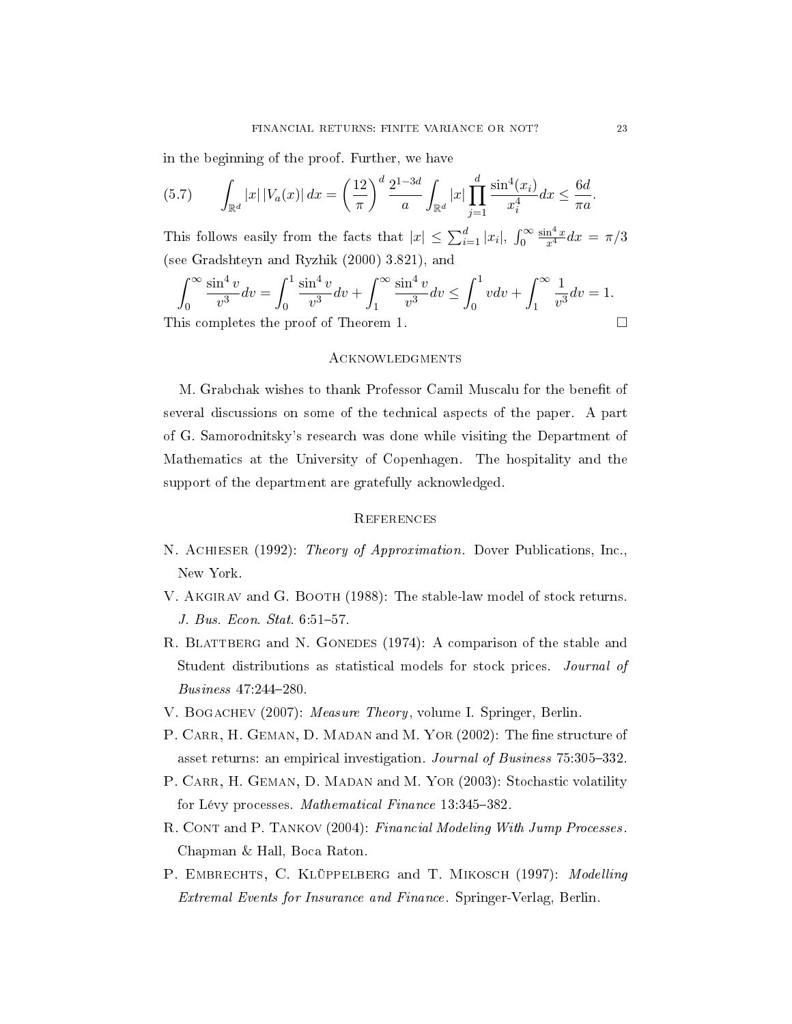in the beginning of the proof. Further, we have

(5.7) 
$$
\int_{\mathbb{R}^d} |x| |V_a(x)| dx = \left(\frac{12}{\pi}\right)^d \frac{2^{1-3d}}{a} \int_{\mathbb{R}^d} |x| \prod_{j=1}^d \frac{\sin^4(x_i)}{x_i^4} dx \leq \frac{6d}{\pi a}.
$$

This follows easily from the facts that  $|x| \leq \sum_{i=1}^d |x_i|$ ,  $\int_0^\infty$  $\frac{\sin^4 x}{x^4} dx = \pi/3$ (see Gradshteyn and Ryzhik (2000) 3.821), and

$$
\int_0^\infty \frac{\sin^4 v}{v^3} dv = \int_0^1 \frac{\sin^4 v}{v^3} dv + \int_1^\infty \frac{\sin^4 v}{v^3} dv \le \int_0^1 v dv + \int_1^\infty \frac{1}{v^3} dv = 1.
$$
  
This completes the proof of Theorem 1.

## **ACKNOWLEDGMENTS**

M. Grabchak wishes to thank Professor Camil Muscalu for the benefit of several discussions on some of the technical aspects of the paper. A part of G. Samorodnitsky's research was done while visiting the Department of Mathematics at the University of Copenhagen. The hospitality and the support of the department are gratefully acknowledged.

### **REFERENCES**

- N. Achieser (1992): Theory of Approximation. Dover Publications, Inc., New York.
- V. AKGIRAV and G. BOOTH (1988): The stable-law model of stock returns. J. Bus. Econ. Stat.  $6:51-57$ .
- R. BLATTBERG and N. GONEDES (1974): A comparison of the stable and Student distributions as statistical models for stock prices. Journal of Business 47:244-280.
- V. Bogachev (2007): Measure Theory, volume I. Springer, Berlin.
- P. CARR, H. GEMAN, D. MADAN and M. YOR (2002): The fine structure of asset returns: an empirical investigation. Journal of Business 75:305-332.
- P. CARR, H. GEMAN, D. MADAN and M. YOR (2003): Stochastic volatility for Lévy processes. Mathematical Finance 13:345-382.
- R. CONT and P. TANKOV (2004): Financial Modeling With Jump Processes. Chapman & Hall, Boca Raton.
- P. EMBRECHTS, C. KLÜPPELBERG and T. MIKOSCH (1997): Modelling Extremal Events for Insurance and Finance. Springer-Verlag, Berlin.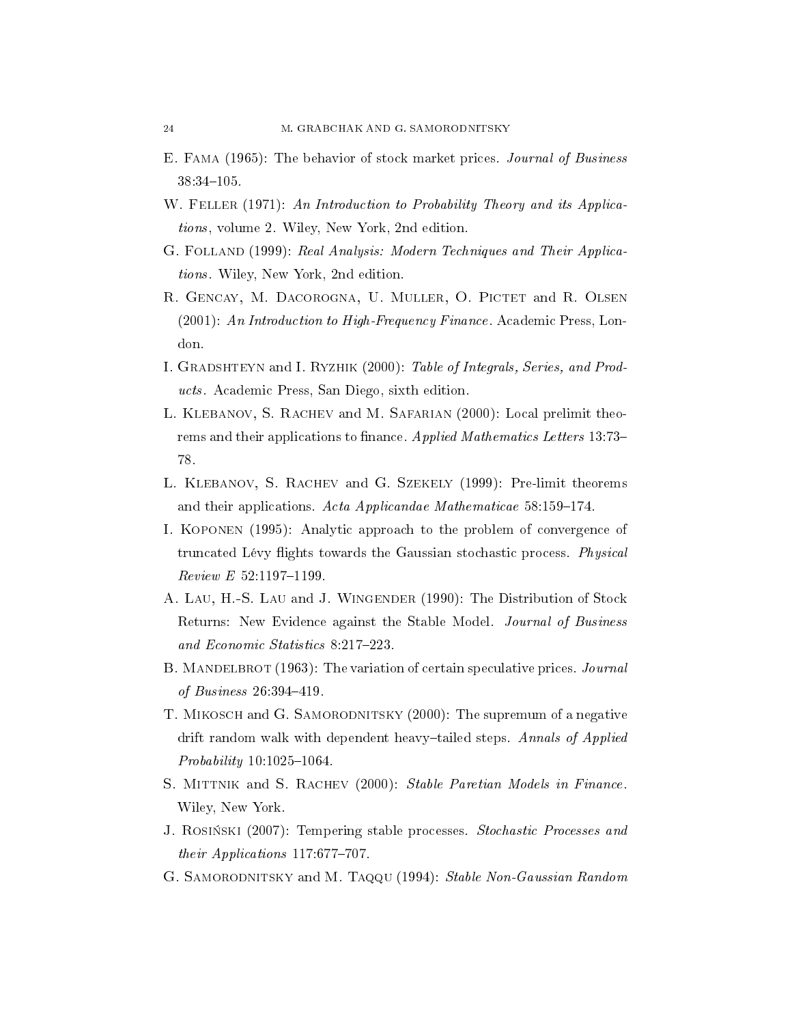- E. Fama (1965): The behavior of stock market prices. Journal of Business 38:34-105.
- W. FELLER (1971): An Introduction to Probability Theory and its Applications, volume 2. Wiley, New York, 2nd edition.
- G. Folland (1999): Real Analysis: Modern Techniques and Their Applications. Wiley, New York, 2nd edition.
- R. GENCAY, M. DACOROGNA, U. MULLER, O. PICTET and R. OLSEN (2001): An Introduction to High-Frequency Finance. Academic Press, London.
- I. Gradshteyn and I. Ryzhik (2000): Table of Integrals, Series, and Products. Academic Press, San Diego, sixth edition.
- L. Klebanov, S. Rachev and M. Safarian (2000): Local prelimit theorems and their applications to finance. Applied Mathematics Letters 13:73– 78.
- L. Klebanov, S. Rachev and G. Szekely (1999): Pre-limit theorems and their applications. Acta Applicandae Mathematicae  $58:159-174$ .
- I. Koponen (1995): Analytic approach to the problem of convergence of truncated Lévy flights towards the Gaussian stochastic process. Physical  $Review E 52:1197-1199.$
- A. Lau, H.-S. Lau and J. Wingender (1990): The Distribution of Stock Returns: New Evidence against the Stable Model. Journal of Business and Economic Statistics 8:217-223.
- B. MANDELBROT (1963): The variation of certain speculative prices. Journal of Business  $26:394-419$ .
- T. MIKOSCH and G. SAMORODNITSKY (2000): The supremum of a negative drift random walk with dependent heavy-tailed steps. Annals of Applied  $Probability 10:1025-1064.$
- S. MITTNIK and S. RACHEV (2000): Stable Paretian Models in Finance. Wiley, New York.
- J. ROSIŃSKI (2007): Tempering stable processes. Stochastic Processes and their Applications  $117:677-707$ .
- G. SAMORODNITSKY and M. Taqqu (1994): Stable Non-Gaussian Random